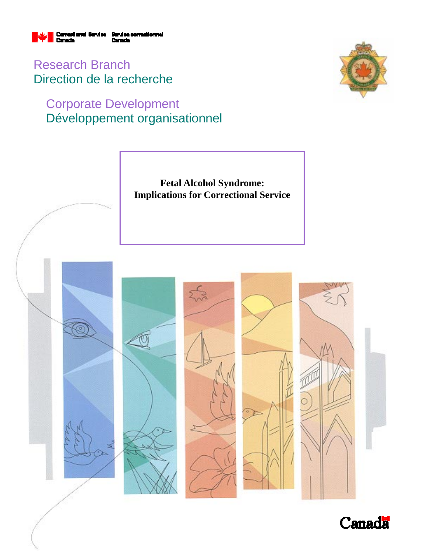

Research Branch Direction de la recherche

# Corporate Development Développement organisationnel





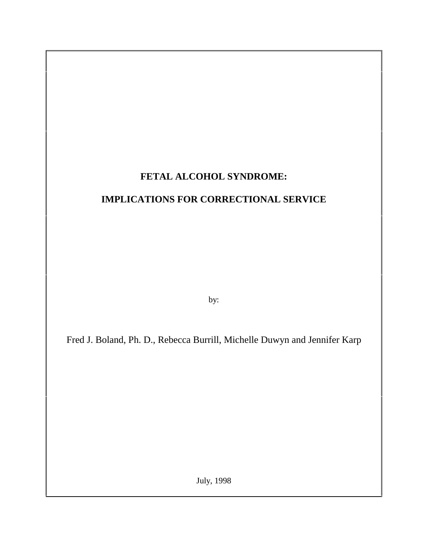## **FETAL ALCOHOL SYNDROME:**

## **IMPLICATIONS FOR CORRECTIONAL SERVICE**

by:

Fred J. Boland, Ph. D., Rebecca Burrill, Michelle Duwyn and Jennifer Karp

July, 1998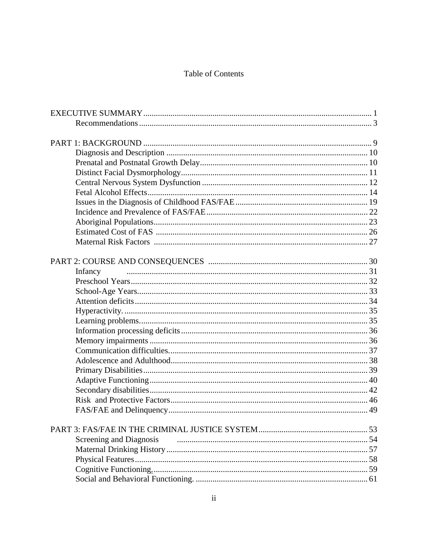### Table of Contents

| Infancy                 |  |
|-------------------------|--|
|                         |  |
|                         |  |
|                         |  |
|                         |  |
|                         |  |
|                         |  |
|                         |  |
|                         |  |
|                         |  |
|                         |  |
|                         |  |
|                         |  |
|                         |  |
|                         |  |
|                         |  |
|                         |  |
| Screening and Diagnosis |  |
|                         |  |
|                         |  |
|                         |  |
|                         |  |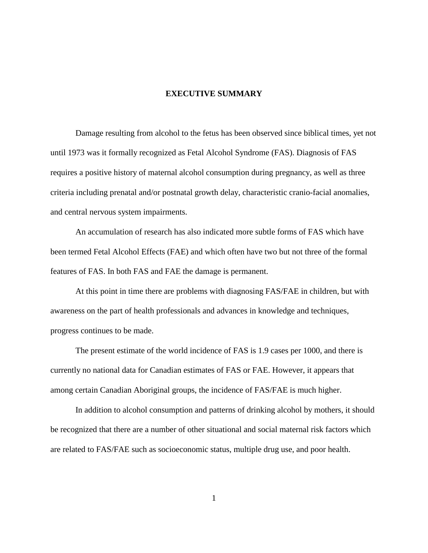#### **EXECUTIVE SUMMARY**

Damage resulting from alcohol to the fetus has been observed since biblical times, yet not until 1973 was it formally recognized as Fetal Alcohol Syndrome (FAS). Diagnosis of FAS requires a positive history of maternal alcohol consumption during pregnancy, as well as three criteria including prenatal and/or postnatal growth delay, characteristic cranio-facial anomalies, and central nervous system impairments.

An accumulation of research has also indicated more subtle forms of FAS which have been termed Fetal Alcohol Effects (FAE) and which often have two but not three of the formal features of FAS. In both FAS and FAE the damage is permanent.

At this point in time there are problems with diagnosing FAS/FAE in children, but with awareness on the part of health professionals and advances in knowledge and techniques, progress continues to be made.

The present estimate of the world incidence of FAS is 1.9 cases per 1000, and there is currently no national data for Canadian estimates of FAS or FAE. However, it appears that among certain Canadian Aboriginal groups, the incidence of FAS/FAE is much higher.

In addition to alcohol consumption and patterns of drinking alcohol by mothers, it should be recognized that there are a number of other situational and social maternal risk factors which are related to FAS/FAE such as socioeconomic status, multiple drug use, and poor health.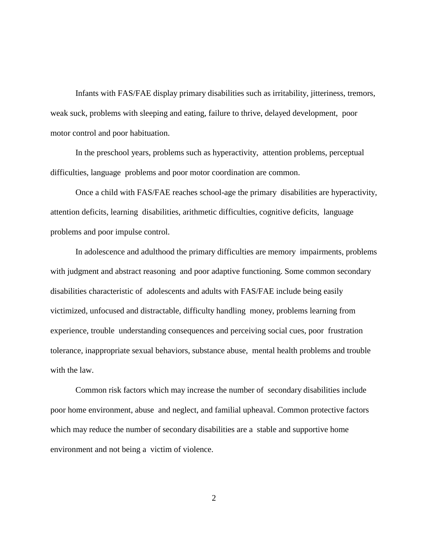Infants with FAS/FAE display primary disabilities such as irritability, jitteriness, tremors, weak suck, problems with sleeping and eating, failure to thrive, delayed development, poor motor control and poor habituation.

In the preschool years, problems such as hyperactivity, attention problems, perceptual difficulties, language problems and poor motor coordination are common.

Once a child with FAS/FAE reaches school-age the primary disabilities are hyperactivity, attention deficits, learning disabilities, arithmetic difficulties, cognitive deficits, language problems and poor impulse control.

In adolescence and adulthood the primary difficulties are memory impairments, problems with judgment and abstract reasoning and poor adaptive functioning. Some common secondary disabilities characteristic of adolescents and adults with FAS/FAE include being easily victimized, unfocused and distractable, difficulty handling money, problems learning from experience, trouble understanding consequences and perceiving social cues, poor frustration tolerance, inappropriate sexual behaviors, substance abuse, mental health problems and trouble with the law.

Common risk factors which may increase the number of secondary disabilities include poor home environment, abuse and neglect, and familial upheaval. Common protective factors which may reduce the number of secondary disabilities are a stable and supportive home environment and not being a victim of violence.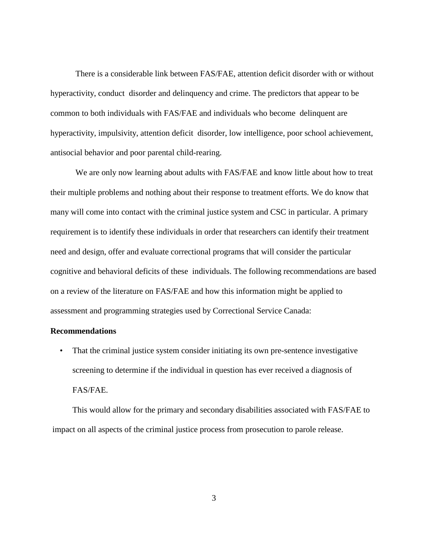There is a considerable link between FAS/FAE, attention deficit disorder with or without hyperactivity, conduct disorder and delinquency and crime. The predictors that appear to be common to both individuals with FAS/FAE and individuals who become delinquent are hyperactivity, impulsivity, attention deficit disorder, low intelligence, poor school achievement, antisocial behavior and poor parental child-rearing.

We are only now learning about adults with FAS/FAE and know little about how to treat their multiple problems and nothing about their response to treatment efforts. We do know that many will come into contact with the criminal justice system and CSC in particular. A primary requirement is to identify these individuals in order that researchers can identify their treatment need and design, offer and evaluate correctional programs that will consider the particular cognitive and behavioral deficits of these individuals. The following recommendations are based on a review of the literature on FAS/FAE and how this information might be applied to assessment and programming strategies used by Correctional Service Canada:

#### **Recommendations**

• That the criminal justice system consider initiating its own pre-sentence investigative screening to determine if the individual in question has ever received a diagnosis of FAS/FAE.

This would allow for the primary and secondary disabilities associated with FAS/FAE to impact on all aspects of the criminal justice process from prosecution to parole release.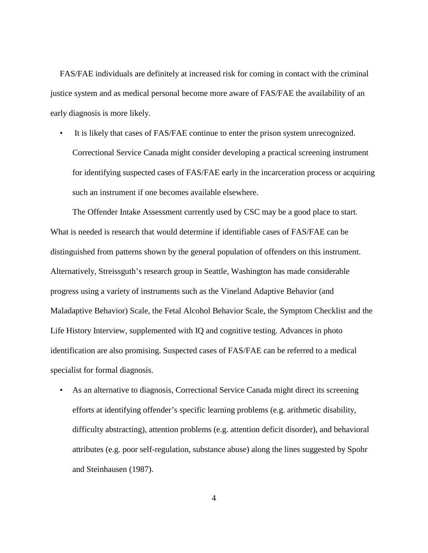FAS/FAE individuals are definitely at increased risk for coming in contact with the criminal justice system and as medical personal become more aware of FAS/FAE the availability of an early diagnosis is more likely.

• It is likely that cases of FAS/FAE continue to enter the prison system unrecognized. Correctional Service Canada might consider developing a practical screening instrument for identifying suspected cases of FAS/FAE early in the incarceration process or acquiring such an instrument if one becomes available elsewhere.

The Offender Intake Assessment currently used by CSC may be a good place to start. What is needed is research that would determine if identifiable cases of FAS/FAE can be distinguished from patterns shown by the general population of offenders on this instrument. Alternatively, Streissguth's research group in Seattle, Washington has made considerable progress using a variety of instruments such as the Vineland Adaptive Behavior (and Maladaptive Behavior) Scale, the Fetal Alcohol Behavior Scale, the Symptom Checklist and the Life History Interview, supplemented with IQ and cognitive testing. Advances in photo identification are also promising. Suspected cases of FAS/FAE can be referred to a medical specialist for formal diagnosis.

• As an alternative to diagnosis, Correctional Service Canada might direct its screening efforts at identifying offender's specific learning problems (e.g. arithmetic disability, difficulty abstracting), attention problems (e.g. attention deficit disorder), and behavioral attributes (e.g. poor self-regulation, substance abuse) along the lines suggested by Spohr and Steinhausen (1987).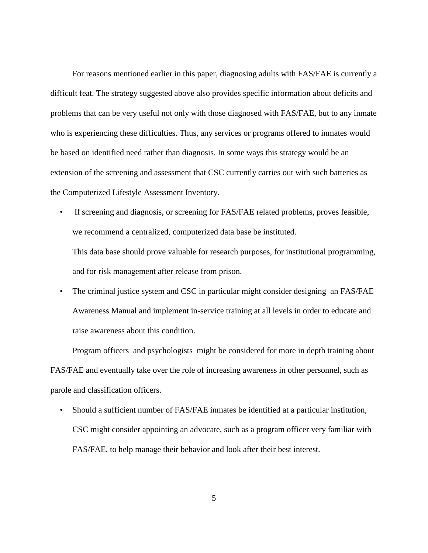For reasons mentioned earlier in this paper, diagnosing adults with FAS/FAE is currently a difficult feat. The strategy suggested above also provides specific information about deficits and problems that can be very useful not only with those diagnosed with FAS/FAE, but to any inmate who is experiencing these difficulties. Thus, any services or programs offered to inmates would be based on identified need rather than diagnosis. In some ways this strategy would be an extension of the screening and assessment that CSC currently carries out with such batteries as the Computerized Lifestyle Assessment Inventory.

• If screening and diagnosis, or screening for FAS/FAE related problems, proves feasible, we recommend a centralized, computerized data base be instituted.

This data base should prove valuable for research purposes, for institutional programming, and for risk management after release from prison.

• The criminal justice system and CSC in particular might consider designing an FAS/FAE Awareness Manual and implement in-service training at all levels in order to educate and raise awareness about this condition.

Program officers and psychologists might be considered for more in depth training about FAS/FAE and eventually take over the role of increasing awareness in other personnel, such as parole and classification officers.

• Should a sufficient number of FAS/FAE inmates be identified at a particular institution, CSC might consider appointing an advocate, such as a program officer very familiar with FAS/FAE, to help manage their behavior and look after their best interest.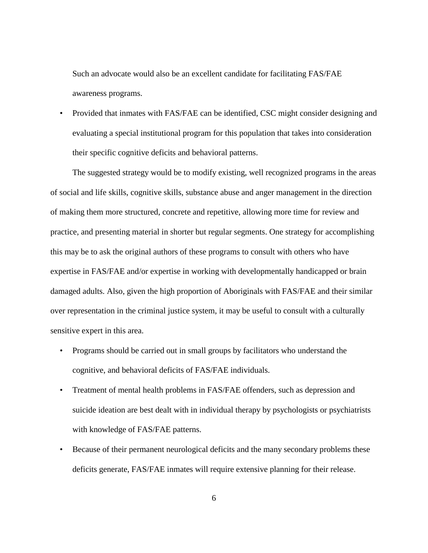Such an advocate would also be an excellent candidate for facilitating FAS/FAE awareness programs.

• Provided that inmates with FAS/FAE can be identified, CSC might consider designing and evaluating a special institutional program for this population that takes into consideration their specific cognitive deficits and behavioral patterns.

The suggested strategy would be to modify existing, well recognized programs in the areas of social and life skills, cognitive skills, substance abuse and anger management in the direction of making them more structured, concrete and repetitive, allowing more time for review and practice, and presenting material in shorter but regular segments. One strategy for accomplishing this may be to ask the original authors of these programs to consult with others who have expertise in FAS/FAE and/or expertise in working with developmentally handicapped or brain damaged adults. Also, given the high proportion of Aboriginals with FAS/FAE and their similar over representation in the criminal justice system, it may be useful to consult with a culturally sensitive expert in this area.

- Programs should be carried out in small groups by facilitators who understand the cognitive, and behavioral deficits of FAS/FAE individuals.
- Treatment of mental health problems in FAS/FAE offenders, such as depression and suicide ideation are best dealt with in individual therapy by psychologists or psychiatrists with knowledge of FAS/FAE patterns.
- Because of their permanent neurological deficits and the many secondary problems these deficits generate, FAS/FAE inmates will require extensive planning for their release.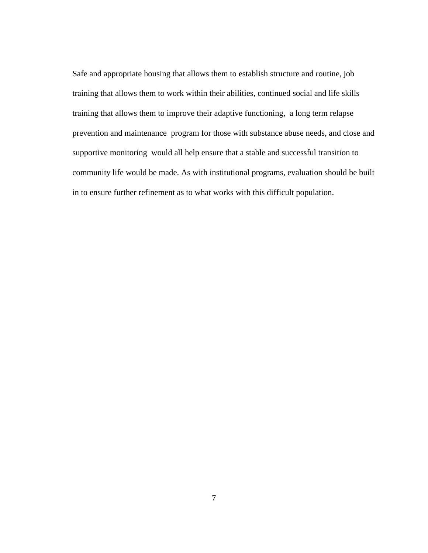Safe and appropriate housing that allows them to establish structure and routine, job training that allows them to work within their abilities, continued social and life skills training that allows them to improve their adaptive functioning, a long term relapse prevention and maintenance program for those with substance abuse needs, and close and supportive monitoring would all help ensure that a stable and successful transition to community life would be made. As with institutional programs, evaluation should be built in to ensure further refinement as to what works with this difficult population.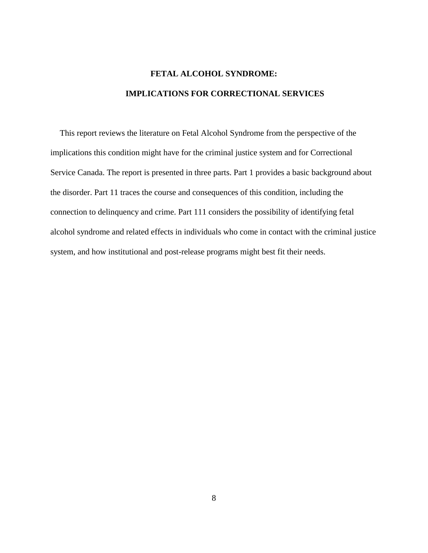# **FETAL ALCOHOL SYNDROME: IMPLICATIONS FOR CORRECTIONAL SERVICES**

This report reviews the literature on Fetal Alcohol Syndrome from the perspective of the implications this condition might have for the criminal justice system and for Correctional Service Canada. The report is presented in three parts. Part 1 provides a basic background about the disorder. Part 11 traces the course and consequences of this condition, including the connection to delinquency and crime. Part 111 considers the possibility of identifying fetal alcohol syndrome and related effects in individuals who come in contact with the criminal justice system, and how institutional and post-release programs might best fit their needs.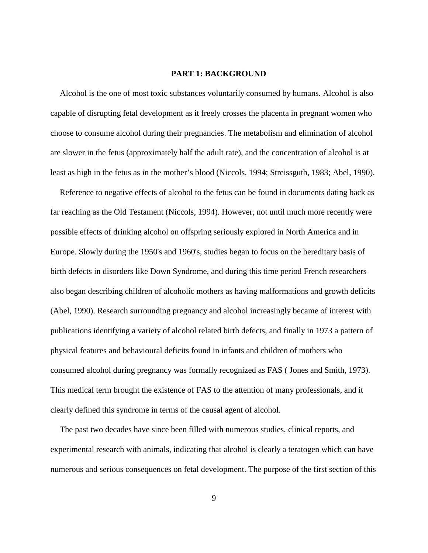#### **PART 1: BACKGROUND**

Alcohol is the one of most toxic substances voluntarily consumed by humans. Alcohol is also capable of disrupting fetal development as it freely crosses the placenta in pregnant women who choose to consume alcohol during their pregnancies. The metabolism and elimination of alcohol are slower in the fetus (approximately half the adult rate), and the concentration of alcohol is at least as high in the fetus as in the mother's blood (Niccols, 1994; Streissguth, 1983; Abel, 1990).

Reference to negative effects of alcohol to the fetus can be found in documents dating back as far reaching as the Old Testament (Niccols, 1994). However, not until much more recently were possible effects of drinking alcohol on offspring seriously explored in North America and in Europe. Slowly during the 1950's and 1960's, studies began to focus on the hereditary basis of birth defects in disorders like Down Syndrome, and during this time period French researchers also began describing children of alcoholic mothers as having malformations and growth deficits (Abel, 1990). Research surrounding pregnancy and alcohol increasingly became of interest with publications identifying a variety of alcohol related birth defects, and finally in 1973 a pattern of physical features and behavioural deficits found in infants and children of mothers who consumed alcohol during pregnancy was formally recognized as FAS ( Jones and Smith, 1973). This medical term brought the existence of FAS to the attention of many professionals, and it clearly defined this syndrome in terms of the causal agent of alcohol.

The past two decades have since been filled with numerous studies, clinical reports, and experimental research with animals, indicating that alcohol is clearly a teratogen which can have numerous and serious consequences on fetal development. The purpose of the first section of this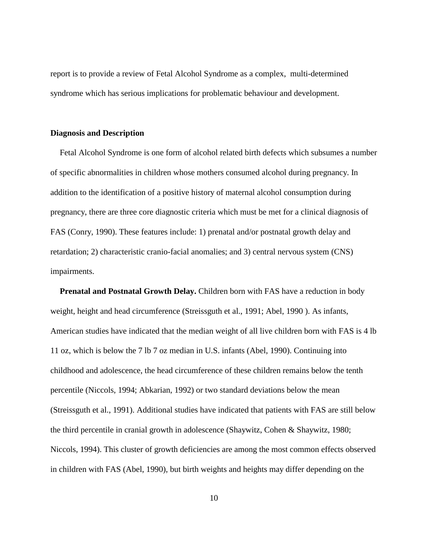report is to provide a review of Fetal Alcohol Syndrome as a complex, multi-determined syndrome which has serious implications for problematic behaviour and development.

#### **Diagnosis and Description**

Fetal Alcohol Syndrome is one form of alcohol related birth defects which subsumes a number of specific abnormalities in children whose mothers consumed alcohol during pregnancy. In addition to the identification of a positive history of maternal alcohol consumption during pregnancy, there are three core diagnostic criteria which must be met for a clinical diagnosis of FAS (Conry, 1990). These features include: 1) prenatal and/or postnatal growth delay and retardation; 2) characteristic cranio-facial anomalies; and 3) central nervous system (CNS) impairments.

**Prenatal and Postnatal Growth Delay.** Children born with FAS have a reduction in body weight, height and head circumference (Streissguth et al., 1991; Abel, 1990 ). As infants, American studies have indicated that the median weight of all live children born with FAS is 4 lb 11 oz, which is below the 7 lb 7 oz median in U.S. infants (Abel, 1990). Continuing into childhood and adolescence, the head circumference of these children remains below the tenth percentile (Niccols, 1994; Abkarian, 1992) or two standard deviations below the mean (Streissguth et al., 1991). Additional studies have indicated that patients with FAS are still below the third percentile in cranial growth in adolescence (Shaywitz, Cohen & Shaywitz, 1980; Niccols, 1994). This cluster of growth deficiencies are among the most common effects observed in children with FAS (Abel, 1990), but birth weights and heights may differ depending on the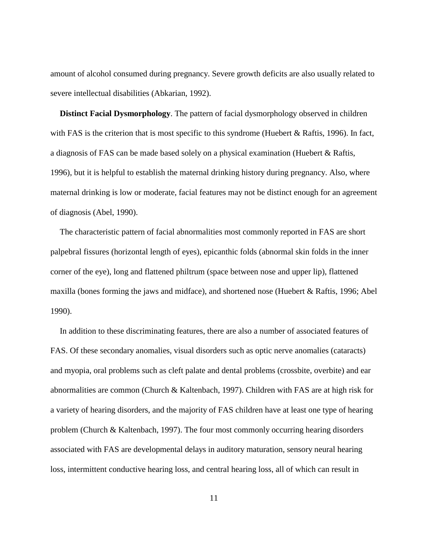amount of alcohol consumed during pregnancy. Severe growth deficits are also usually related to severe intellectual disabilities (Abkarian, 1992).

**Distinct Facial Dysmorphology**. The pattern of facial dysmorphology observed in children with FAS is the criterion that is most specific to this syndrome (Huebert & Raftis, 1996). In fact, a diagnosis of FAS can be made based solely on a physical examination (Huebert & Raftis, 1996), but it is helpful to establish the maternal drinking history during pregnancy. Also, where maternal drinking is low or moderate, facial features may not be distinct enough for an agreement of diagnosis (Abel, 1990).

The characteristic pattern of facial abnormalities most commonly reported in FAS are short palpebral fissures (horizontal length of eyes), epicanthic folds (abnormal skin folds in the inner corner of the eye), long and flattened philtrum (space between nose and upper lip), flattened maxilla (bones forming the jaws and midface), and shortened nose (Huebert & Raftis, 1996; Abel 1990).

In addition to these discriminating features, there are also a number of associated features of FAS. Of these secondary anomalies, visual disorders such as optic nerve anomalies (cataracts) and myopia, oral problems such as cleft palate and dental problems (crossbite, overbite) and ear abnormalities are common (Church & Kaltenbach, 1997). Children with FAS are at high risk for a variety of hearing disorders, and the majority of FAS children have at least one type of hearing problem (Church & Kaltenbach, 1997). The four most commonly occurring hearing disorders associated with FAS are developmental delays in auditory maturation, sensory neural hearing loss, intermittent conductive hearing loss, and central hearing loss, all of which can result in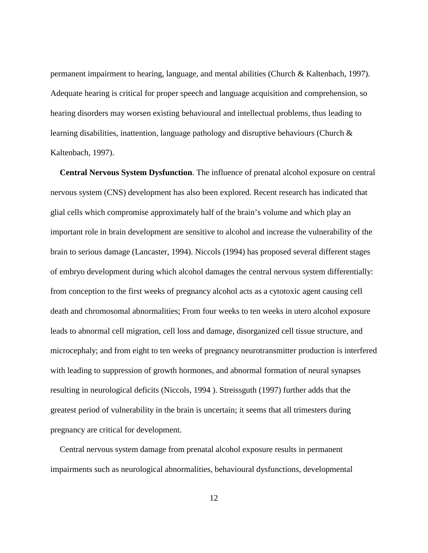permanent impairment to hearing, language, and mental abilities (Church & Kaltenbach, 1997). Adequate hearing is critical for proper speech and language acquisition and comprehension, so hearing disorders may worsen existing behavioural and intellectual problems, thus leading to learning disabilities, inattention, language pathology and disruptive behaviours (Church & Kaltenbach, 1997).

**Central Nervous System Dysfunction**. The influence of prenatal alcohol exposure on central nervous system (CNS) development has also been explored. Recent research has indicated that glial cells which compromise approximately half of the brain's volume and which play an important role in brain development are sensitive to alcohol and increase the vulnerability of the brain to serious damage (Lancaster, 1994). Niccols (1994) has proposed several different stages of embryo development during which alcohol damages the central nervous system differentially: from conception to the first weeks of pregnancy alcohol acts as a cytotoxic agent causing cell death and chromosomal abnormalities; From four weeks to ten weeks in utero alcohol exposure leads to abnormal cell migration, cell loss and damage, disorganized cell tissue structure, and microcephaly; and from eight to ten weeks of pregnancy neurotransmitter production is interfered with leading to suppression of growth hormones, and abnormal formation of neural synapses resulting in neurological deficits (Niccols, 1994 ). Streissguth (1997) further adds that the greatest period of vulnerability in the brain is uncertain; it seems that all trimesters during pregnancy are critical for development.

Central nervous system damage from prenatal alcohol exposure results in permanent impairments such as neurological abnormalities, behavioural dysfunctions, developmental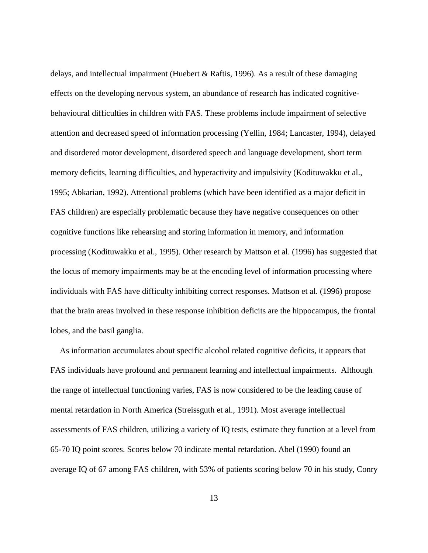delays, and intellectual impairment (Huebert & Raftis, 1996). As a result of these damaging effects on the developing nervous system, an abundance of research has indicated cognitivebehavioural difficulties in children with FAS. These problems include impairment of selective attention and decreased speed of information processing (Yellin, 1984; Lancaster, 1994), delayed and disordered motor development, disordered speech and language development, short term memory deficits, learning difficulties, and hyperactivity and impulsivity (Kodituwakku et al., 1995; Abkarian, 1992). Attentional problems (which have been identified as a major deficit in FAS children) are especially problematic because they have negative consequences on other cognitive functions like rehearsing and storing information in memory, and information processing (Kodituwakku et al., 1995). Other research by Mattson et al. (1996) has suggested that the locus of memory impairments may be at the encoding level of information processing where individuals with FAS have difficulty inhibiting correct responses. Mattson et al. (1996) propose that the brain areas involved in these response inhibition deficits are the hippocampus, the frontal lobes, and the basil ganglia.

As information accumulates about specific alcohol related cognitive deficits, it appears that FAS individuals have profound and permanent learning and intellectual impairments. Although the range of intellectual functioning varies, FAS is now considered to be the leading cause of mental retardation in North America (Streissguth et al., 1991). Most average intellectual assessments of FAS children, utilizing a variety of IQ tests, estimate they function at a level from 65-70 IQ point scores. Scores below 70 indicate mental retardation. Abel (1990) found an average IQ of 67 among FAS children, with 53% of patients scoring below 70 in his study, Conry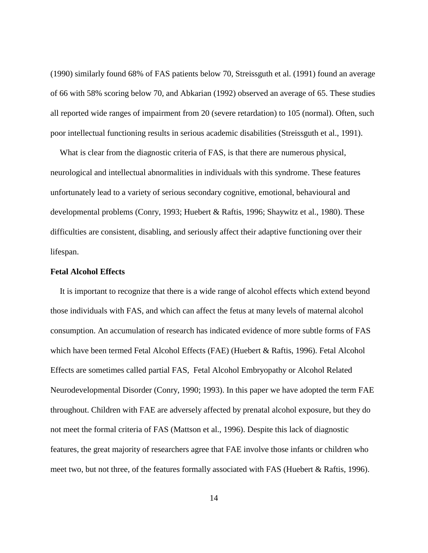(1990) similarly found 68% of FAS patients below 70, Streissguth et al. (1991) found an average of 66 with 58% scoring below 70, and Abkarian (1992) observed an average of 65. These studies all reported wide ranges of impairment from 20 (severe retardation) to 105 (normal). Often, such poor intellectual functioning results in serious academic disabilities (Streissguth et al., 1991).

What is clear from the diagnostic criteria of FAS, is that there are numerous physical, neurological and intellectual abnormalities in individuals with this syndrome. These features unfortunately lead to a variety of serious secondary cognitive, emotional, behavioural and developmental problems (Conry, 1993; Huebert & Raftis, 1996; Shaywitz et al., 1980). These difficulties are consistent, disabling, and seriously affect their adaptive functioning over their lifespan.

#### **Fetal Alcohol Effects**

It is important to recognize that there is a wide range of alcohol effects which extend beyond those individuals with FAS, and which can affect the fetus at many levels of maternal alcohol consumption. An accumulation of research has indicated evidence of more subtle forms of FAS which have been termed Fetal Alcohol Effects (FAE) (Huebert & Raftis, 1996). Fetal Alcohol Effects are sometimes called partial FAS, Fetal Alcohol Embryopathy or Alcohol Related Neurodevelopmental Disorder (Conry, 1990; 1993). In this paper we have adopted the term FAE throughout. Children with FAE are adversely affected by prenatal alcohol exposure, but they do not meet the formal criteria of FAS (Mattson et al., 1996). Despite this lack of diagnostic features, the great majority of researchers agree that FAE involve those infants or children who meet two, but not three, of the features formally associated with FAS (Huebert & Raftis, 1996).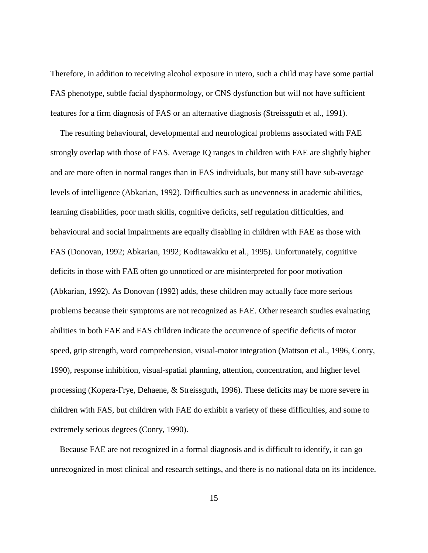Therefore, in addition to receiving alcohol exposure in utero, such a child may have some partial FAS phenotype, subtle facial dysphormology, or CNS dysfunction but will not have sufficient features for a firm diagnosis of FAS or an alternative diagnosis (Streissguth et al., 1991).

The resulting behavioural, developmental and neurological problems associated with FAE strongly overlap with those of FAS. Average IQ ranges in children with FAE are slightly higher and are more often in normal ranges than in FAS individuals, but many still have sub-average levels of intelligence (Abkarian, 1992). Difficulties such as unevenness in academic abilities, learning disabilities, poor math skills, cognitive deficits, self regulation difficulties, and behavioural and social impairments are equally disabling in children with FAE as those with FAS (Donovan, 1992; Abkarian, 1992; Koditawakku et al., 1995). Unfortunately, cognitive deficits in those with FAE often go unnoticed or are misinterpreted for poor motivation (Abkarian, 1992). As Donovan (1992) adds, these children may actually face more serious problems because their symptoms are not recognized as FAE. Other research studies evaluating abilities in both FAE and FAS children indicate the occurrence of specific deficits of motor speed, grip strength, word comprehension, visual-motor integration (Mattson et al., 1996, Conry, 1990), response inhibition, visual-spatial planning, attention, concentration, and higher level processing (Kopera-Frye, Dehaene, & Streissguth, 1996). These deficits may be more severe in children with FAS, but children with FAE do exhibit a variety of these difficulties, and some to extremely serious degrees (Conry, 1990).

Because FAE are not recognized in a formal diagnosis and is difficult to identify, it can go unrecognized in most clinical and research settings, and there is no national data on its incidence.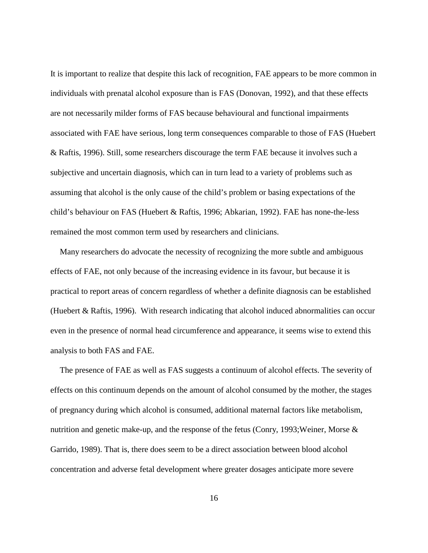It is important to realize that despite this lack of recognition, FAE appears to be more common in individuals with prenatal alcohol exposure than is FAS (Donovan, 1992), and that these effects are not necessarily milder forms of FAS because behavioural and functional impairments associated with FAE have serious, long term consequences comparable to those of FAS (Huebert & Raftis, 1996). Still, some researchers discourage the term FAE because it involves such a subjective and uncertain diagnosis, which can in turn lead to a variety of problems such as assuming that alcohol is the only cause of the child's problem or basing expectations of the child's behaviour on FAS (Huebert & Raftis, 1996; Abkarian, 1992). FAE has none-the-less remained the most common term used by researchers and clinicians.

Many researchers do advocate the necessity of recognizing the more subtle and ambiguous effects of FAE, not only because of the increasing evidence in its favour, but because it is practical to report areas of concern regardless of whether a definite diagnosis can be established (Huebert & Raftis, 1996). With research indicating that alcohol induced abnormalities can occur even in the presence of normal head circumference and appearance, it seems wise to extend this analysis to both FAS and FAE.

The presence of FAE as well as FAS suggests a continuum of alcohol effects. The severity of effects on this continuum depends on the amount of alcohol consumed by the mother, the stages of pregnancy during which alcohol is consumed, additional maternal factors like metabolism, nutrition and genetic make-up, and the response of the fetus (Conry, 1993;Weiner, Morse & Garrido, 1989). That is, there does seem to be a direct association between blood alcohol concentration and adverse fetal development where greater dosages anticipate more severe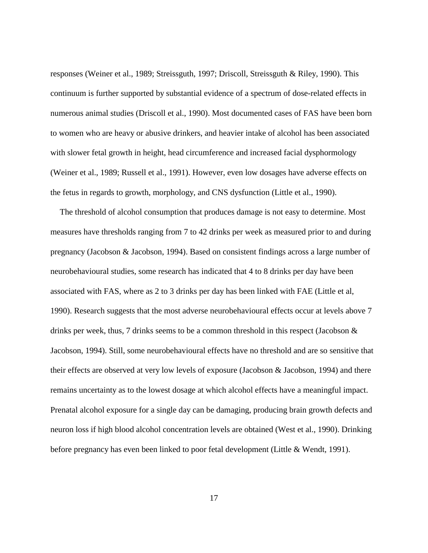responses (Weiner et al., 1989; Streissguth, 1997; Driscoll, Streissguth & Riley, 1990). This continuum is further supported by substantial evidence of a spectrum of dose-related effects in numerous animal studies (Driscoll et al., 1990). Most documented cases of FAS have been born to women who are heavy or abusive drinkers, and heavier intake of alcohol has been associated with slower fetal growth in height, head circumference and increased facial dysphormology (Weiner et al., 1989; Russell et al., 1991). However, even low dosages have adverse effects on the fetus in regards to growth, morphology, and CNS dysfunction (Little et al., 1990).

The threshold of alcohol consumption that produces damage is not easy to determine. Most measures have thresholds ranging from 7 to 42 drinks per week as measured prior to and during pregnancy (Jacobson & Jacobson, 1994). Based on consistent findings across a large number of neurobehavioural studies, some research has indicated that 4 to 8 drinks per day have been associated with FAS, where as 2 to 3 drinks per day has been linked with FAE (Little et al, 1990). Research suggests that the most adverse neurobehavioural effects occur at levels above 7 drinks per week, thus, 7 drinks seems to be a common threshold in this respect (Jacobson & Jacobson, 1994). Still, some neurobehavioural effects have no threshold and are so sensitive that their effects are observed at very low levels of exposure (Jacobson & Jacobson, 1994) and there remains uncertainty as to the lowest dosage at which alcohol effects have a meaningful impact. Prenatal alcohol exposure for a single day can be damaging, producing brain growth defects and neuron loss if high blood alcohol concentration levels are obtained (West et al., 1990). Drinking before pregnancy has even been linked to poor fetal development (Little & Wendt, 1991).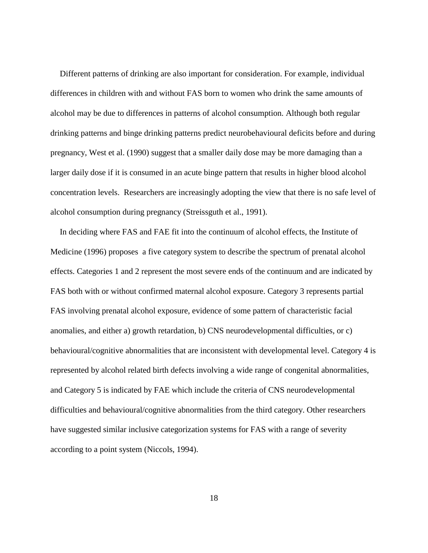Different patterns of drinking are also important for consideration. For example, individual differences in children with and without FAS born to women who drink the same amounts of alcohol may be due to differences in patterns of alcohol consumption. Although both regular drinking patterns and binge drinking patterns predict neurobehavioural deficits before and during pregnancy, West et al. (1990) suggest that a smaller daily dose may be more damaging than a larger daily dose if it is consumed in an acute binge pattern that results in higher blood alcohol concentration levels. Researchers are increasingly adopting the view that there is no safe level of alcohol consumption during pregnancy (Streissguth et al., 1991).

In deciding where FAS and FAE fit into the continuum of alcohol effects, the Institute of Medicine (1996) proposes a five category system to describe the spectrum of prenatal alcohol effects. Categories 1 and 2 represent the most severe ends of the continuum and are indicated by FAS both with or without confirmed maternal alcohol exposure. Category 3 represents partial FAS involving prenatal alcohol exposure, evidence of some pattern of characteristic facial anomalies, and either a) growth retardation, b) CNS neurodevelopmental difficulties, or c) behavioural/cognitive abnormalities that are inconsistent with developmental level. Category 4 is represented by alcohol related birth defects involving a wide range of congenital abnormalities, and Category 5 is indicated by FAE which include the criteria of CNS neurodevelopmental difficulties and behavioural/cognitive abnormalities from the third category. Other researchers have suggested similar inclusive categorization systems for FAS with a range of severity according to a point system (Niccols, 1994).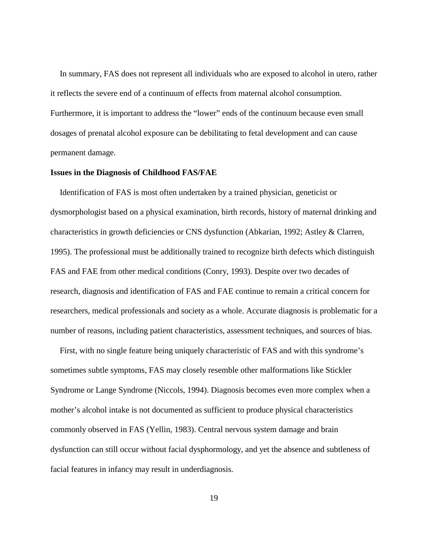In summary, FAS does not represent all individuals who are exposed to alcohol in utero, rather it reflects the severe end of a continuum of effects from maternal alcohol consumption. Furthermore, it is important to address the "lower" ends of the continuum because even small dosages of prenatal alcohol exposure can be debilitating to fetal development and can cause permanent damage.

#### **Issues in the Diagnosis of Childhood FAS/FAE**

Identification of FAS is most often undertaken by a trained physician, geneticist or dysmorphologist based on a physical examination, birth records, history of maternal drinking and characteristics in growth deficiencies or CNS dysfunction (Abkarian, 1992; Astley & Clarren, 1995). The professional must be additionally trained to recognize birth defects which distinguish FAS and FAE from other medical conditions (Conry, 1993). Despite over two decades of research, diagnosis and identification of FAS and FAE continue to remain a critical concern for researchers, medical professionals and society as a whole. Accurate diagnosis is problematic for a number of reasons, including patient characteristics, assessment techniques, and sources of bias.

First, with no single feature being uniquely characteristic of FAS and with this syndrome's sometimes subtle symptoms, FAS may closely resemble other malformations like Stickler Syndrome or Lange Syndrome (Niccols, 1994). Diagnosis becomes even more complex when a mother's alcohol intake is not documented as sufficient to produce physical characteristics commonly observed in FAS (Yellin, 1983). Central nervous system damage and brain dysfunction can still occur without facial dysphormology, and yet the absence and subtleness of facial features in infancy may result in underdiagnosis.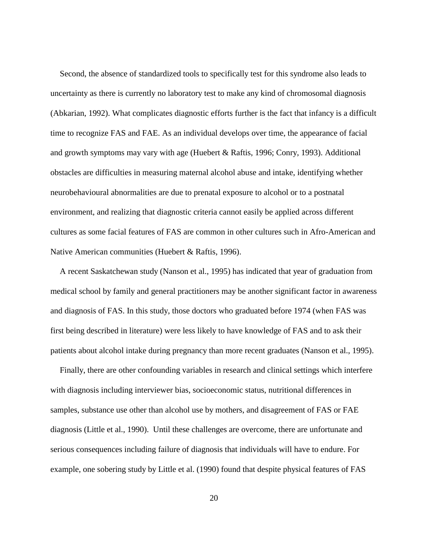Second, the absence of standardized tools to specifically test for this syndrome also leads to uncertainty as there is currently no laboratory test to make any kind of chromosomal diagnosis (Abkarian, 1992). What complicates diagnostic efforts further is the fact that infancy is a difficult time to recognize FAS and FAE. As an individual develops over time, the appearance of facial and growth symptoms may vary with age (Huebert & Raftis, 1996; Conry, 1993). Additional obstacles are difficulties in measuring maternal alcohol abuse and intake, identifying whether neurobehavioural abnormalities are due to prenatal exposure to alcohol or to a postnatal environment, and realizing that diagnostic criteria cannot easily be applied across different cultures as some facial features of FAS are common in other cultures such in Afro-American and Native American communities (Huebert & Raftis, 1996).

A recent Saskatchewan study (Nanson et al., 1995) has indicated that year of graduation from medical school by family and general practitioners may be another significant factor in awareness and diagnosis of FAS. In this study, those doctors who graduated before 1974 (when FAS was first being described in literature) were less likely to have knowledge of FAS and to ask their patients about alcohol intake during pregnancy than more recent graduates (Nanson et al., 1995).

Finally, there are other confounding variables in research and clinical settings which interfere with diagnosis including interviewer bias, socioeconomic status, nutritional differences in samples, substance use other than alcohol use by mothers, and disagreement of FAS or FAE diagnosis (Little et al., 1990). Until these challenges are overcome, there are unfortunate and serious consequences including failure of diagnosis that individuals will have to endure. For example, one sobering study by Little et al. (1990) found that despite physical features of FAS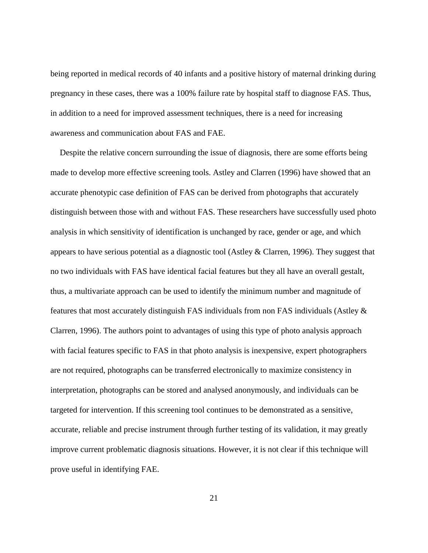being reported in medical records of 40 infants and a positive history of maternal drinking during pregnancy in these cases, there was a 100% failure rate by hospital staff to diagnose FAS. Thus, in addition to a need for improved assessment techniques, there is a need for increasing awareness and communication about FAS and FAE.

Despite the relative concern surrounding the issue of diagnosis, there are some efforts being made to develop more effective screening tools. Astley and Clarren (1996) have showed that an accurate phenotypic case definition of FAS can be derived from photographs that accurately distinguish between those with and without FAS. These researchers have successfully used photo analysis in which sensitivity of identification is unchanged by race, gender or age, and which appears to have serious potential as a diagnostic tool (Astley & Clarren, 1996). They suggest that no two individuals with FAS have identical facial features but they all have an overall gestalt, thus, a multivariate approach can be used to identify the minimum number and magnitude of features that most accurately distinguish FAS individuals from non FAS individuals (Astley & Clarren, 1996). The authors point to advantages of using this type of photo analysis approach with facial features specific to FAS in that photo analysis is inexpensive, expert photographers are not required, photographs can be transferred electronically to maximize consistency in interpretation, photographs can be stored and analysed anonymously, and individuals can be targeted for intervention. If this screening tool continues to be demonstrated as a sensitive, accurate, reliable and precise instrument through further testing of its validation, it may greatly improve current problematic diagnosis situations. However, it is not clear if this technique will prove useful in identifying FAE.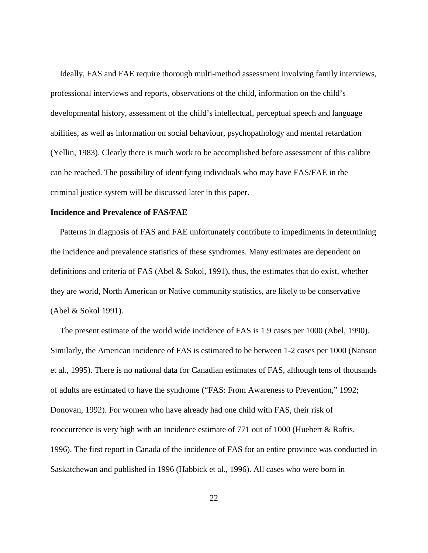Ideally, FAS and FAE require thorough multi-method assessment involving family interviews, professional interviews and reports, observations of the child, information on the child's developmental history, assessment of the child's intellectual, perceptual speech and language abilities, as well as information on social behaviour, psychopathology and mental retardation (Yellin, 1983). Clearly there is much work to be accomplished before assessment of this calibre can be reached. The possibility of identifying individuals who may have FAS/FAE in the criminal justice system will be discussed later in this paper.

#### **Incidence and Prevalence of FAS/FAE**

Patterns in diagnosis of FAS and FAE unfortunately contribute to impediments in determining the incidence and prevalence statistics of these syndromes. Many estimates are dependent on definitions and criteria of FAS (Abel  $\&$  Sokol, 1991), thus, the estimates that do exist, whether they are world, North American or Native community statistics, are likely to be conservative (Abel & Sokol 1991).

The present estimate of the world wide incidence of FAS is 1.9 cases per 1000 (Abel, 1990). Similarly, the American incidence of FAS is estimated to be between 1-2 cases per 1000 (Nanson et al., 1995). There is no national data for Canadian estimates of FAS, although tens of thousands of adults are estimated to have the syndrome ("FAS: From Awareness to Prevention," 1992; Donovan, 1992). For women who have already had one child with FAS, their risk of reoccurrence is very high with an incidence estimate of 771 out of 1000 (Huebert & Raftis, 1996). The first report in Canada of the incidence of FAS for an entire province was conducted in Saskatchewan and published in 1996 (Habbick et al., 1996). All cases who were born in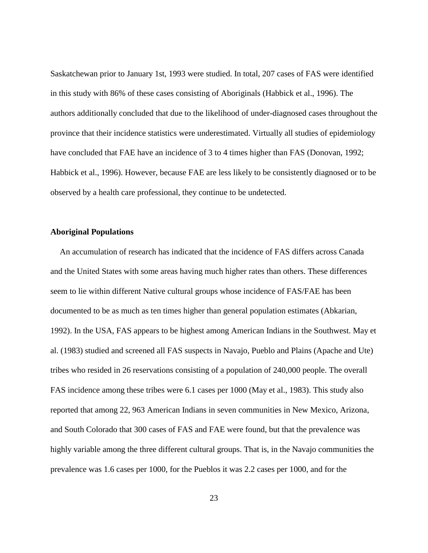Saskatchewan prior to January 1st, 1993 were studied. In total, 207 cases of FAS were identified in this study with 86% of these cases consisting of Aboriginals (Habbick et al., 1996). The authors additionally concluded that due to the likelihood of under-diagnosed cases throughout the province that their incidence statistics were underestimated. Virtually all studies of epidemiology have concluded that FAE have an incidence of 3 to 4 times higher than FAS (Donovan, 1992; Habbick et al., 1996). However, because FAE are less likely to be consistently diagnosed or to be observed by a health care professional, they continue to be undetected.

#### **Aboriginal Populations**

An accumulation of research has indicated that the incidence of FAS differs across Canada and the United States with some areas having much higher rates than others. These differences seem to lie within different Native cultural groups whose incidence of FAS/FAE has been documented to be as much as ten times higher than general population estimates (Abkarian, 1992). In the USA, FAS appears to be highest among American Indians in the Southwest. May et al. (1983) studied and screened all FAS suspects in Navajo, Pueblo and Plains (Apache and Ute) tribes who resided in 26 reservations consisting of a population of 240,000 people. The overall FAS incidence among these tribes were 6.1 cases per 1000 (May et al., 1983). This study also reported that among 22, 963 American Indians in seven communities in New Mexico, Arizona, and South Colorado that 300 cases of FAS and FAE were found, but that the prevalence was highly variable among the three different cultural groups. That is, in the Navajo communities the prevalence was 1.6 cases per 1000, for the Pueblos it was 2.2 cases per 1000, and for the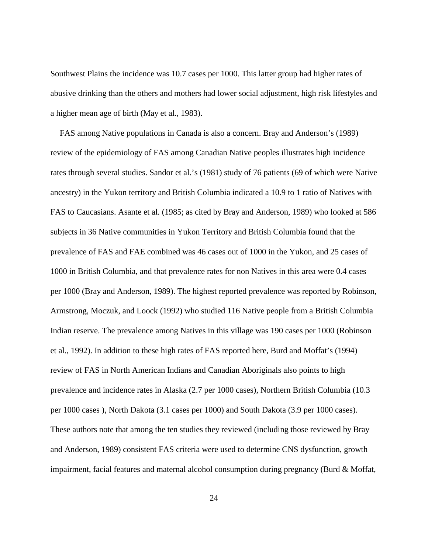Southwest Plains the incidence was 10.7 cases per 1000. This latter group had higher rates of abusive drinking than the others and mothers had lower social adjustment, high risk lifestyles and a higher mean age of birth (May et al., 1983).

FAS among Native populations in Canada is also a concern. Bray and Anderson's (1989) review of the epidemiology of FAS among Canadian Native peoples illustrates high incidence rates through several studies. Sandor et al.'s (1981) study of 76 patients (69 of which were Native ancestry) in the Yukon territory and British Columbia indicated a 10.9 to 1 ratio of Natives with FAS to Caucasians. Asante et al. (1985; as cited by Bray and Anderson, 1989) who looked at 586 subjects in 36 Native communities in Yukon Territory and British Columbia found that the prevalence of FAS and FAE combined was 46 cases out of 1000 in the Yukon, and 25 cases of 1000 in British Columbia, and that prevalence rates for non Natives in this area were 0.4 cases per 1000 (Bray and Anderson, 1989). The highest reported prevalence was reported by Robinson, Armstrong, Moczuk, and Loock (1992) who studied 116 Native people from a British Columbia Indian reserve. The prevalence among Natives in this village was 190 cases per 1000 (Robinson et al., 1992). In addition to these high rates of FAS reported here, Burd and Moffat's (1994) review of FAS in North American Indians and Canadian Aboriginals also points to high prevalence and incidence rates in Alaska (2.7 per 1000 cases), Northern British Columbia (10.3 per 1000 cases ), North Dakota (3.1 cases per 1000) and South Dakota (3.9 per 1000 cases). These authors note that among the ten studies they reviewed (including those reviewed by Bray and Anderson, 1989) consistent FAS criteria were used to determine CNS dysfunction, growth impairment, facial features and maternal alcohol consumption during pregnancy (Burd & Moffat,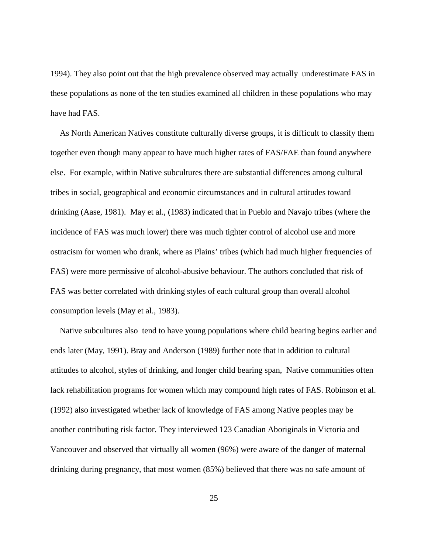1994). They also point out that the high prevalence observed may actually underestimate FAS in these populations as none of the ten studies examined all children in these populations who may have had FAS.

As North American Natives constitute culturally diverse groups, it is difficult to classify them together even though many appear to have much higher rates of FAS/FAE than found anywhere else. For example, within Native subcultures there are substantial differences among cultural tribes in social, geographical and economic circumstances and in cultural attitudes toward drinking (Aase, 1981). May et al., (1983) indicated that in Pueblo and Navajo tribes (where the incidence of FAS was much lower) there was much tighter control of alcohol use and more ostracism for women who drank, where as Plains' tribes (which had much higher frequencies of FAS) were more permissive of alcohol-abusive behaviour. The authors concluded that risk of FAS was better correlated with drinking styles of each cultural group than overall alcohol consumption levels (May et al., 1983).

Native subcultures also tend to have young populations where child bearing begins earlier and ends later (May, 1991). Bray and Anderson (1989) further note that in addition to cultural attitudes to alcohol, styles of drinking, and longer child bearing span, Native communities often lack rehabilitation programs for women which may compound high rates of FAS. Robinson et al. (1992) also investigated whether lack of knowledge of FAS among Native peoples may be another contributing risk factor. They interviewed 123 Canadian Aboriginals in Victoria and Vancouver and observed that virtually all women (96%) were aware of the danger of maternal drinking during pregnancy, that most women (85%) believed that there was no safe amount of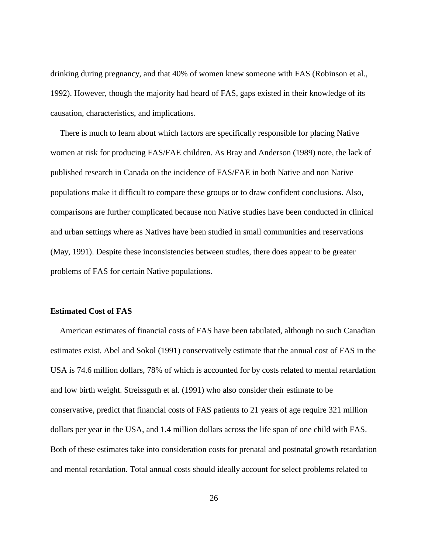drinking during pregnancy, and that 40% of women knew someone with FAS (Robinson et al., 1992). However, though the majority had heard of FAS, gaps existed in their knowledge of its causation, characteristics, and implications.

There is much to learn about which factors are specifically responsible for placing Native women at risk for producing FAS/FAE children. As Bray and Anderson (1989) note, the lack of published research in Canada on the incidence of FAS/FAE in both Native and non Native populations make it difficult to compare these groups or to draw confident conclusions. Also, comparisons are further complicated because non Native studies have been conducted in clinical and urban settings where as Natives have been studied in small communities and reservations (May, 1991). Despite these inconsistencies between studies, there does appear to be greater problems of FAS for certain Native populations.

### **Estimated Cost of FAS**

American estimates of financial costs of FAS have been tabulated, although no such Canadian estimates exist. Abel and Sokol (1991) conservatively estimate that the annual cost of FAS in the USA is 74.6 million dollars, 78% of which is accounted for by costs related to mental retardation and low birth weight. Streissguth et al. (1991) who also consider their estimate to be conservative, predict that financial costs of FAS patients to 21 years of age require 321 million dollars per year in the USA, and 1.4 million dollars across the life span of one child with FAS. Both of these estimates take into consideration costs for prenatal and postnatal growth retardation and mental retardation. Total annual costs should ideally account for select problems related to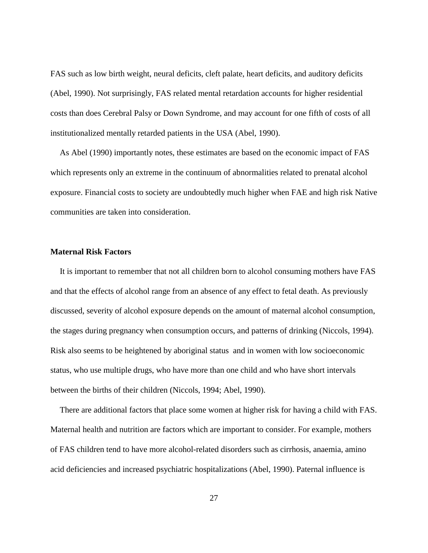FAS such as low birth weight, neural deficits, cleft palate, heart deficits, and auditory deficits (Abel, 1990). Not surprisingly, FAS related mental retardation accounts for higher residential costs than does Cerebral Palsy or Down Syndrome, and may account for one fifth of costs of all institutionalized mentally retarded patients in the USA (Abel, 1990).

As Abel (1990) importantly notes, these estimates are based on the economic impact of FAS which represents only an extreme in the continuum of abnormalities related to prenatal alcohol exposure. Financial costs to society are undoubtedly much higher when FAE and high risk Native communities are taken into consideration.

#### **Maternal Risk Factors**

It is important to remember that not all children born to alcohol consuming mothers have FAS and that the effects of alcohol range from an absence of any effect to fetal death. As previously discussed, severity of alcohol exposure depends on the amount of maternal alcohol consumption, the stages during pregnancy when consumption occurs, and patterns of drinking (Niccols, 1994). Risk also seems to be heightened by aboriginal status and in women with low socioeconomic status, who use multiple drugs, who have more than one child and who have short intervals between the births of their children (Niccols, 1994; Abel, 1990).

There are additional factors that place some women at higher risk for having a child with FAS. Maternal health and nutrition are factors which are important to consider. For example, mothers of FAS children tend to have more alcohol-related disorders such as cirrhosis, anaemia, amino acid deficiencies and increased psychiatric hospitalizations (Abel, 1990). Paternal influence is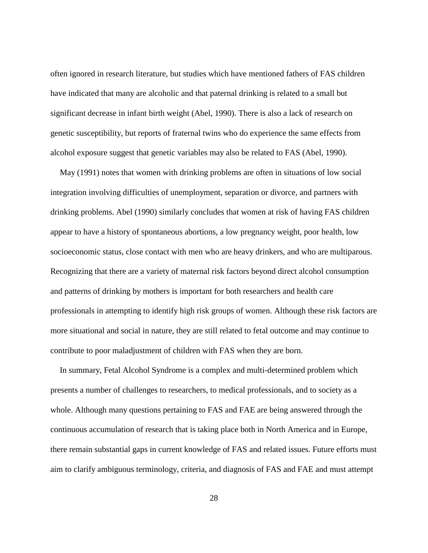often ignored in research literature, but studies which have mentioned fathers of FAS children have indicated that many are alcoholic and that paternal drinking is related to a small but significant decrease in infant birth weight (Abel, 1990). There is also a lack of research on genetic susceptibility, but reports of fraternal twins who do experience the same effects from alcohol exposure suggest that genetic variables may also be related to FAS (Abel, 1990).

May (1991) notes that women with drinking problems are often in situations of low social integration involving difficulties of unemployment, separation or divorce, and partners with drinking problems. Abel (1990) similarly concludes that women at risk of having FAS children appear to have a history of spontaneous abortions, a low pregnancy weight, poor health, low socioeconomic status, close contact with men who are heavy drinkers, and who are multiparous. Recognizing that there are a variety of maternal risk factors beyond direct alcohol consumption and patterns of drinking by mothers is important for both researchers and health care professionals in attempting to identify high risk groups of women. Although these risk factors are more situational and social in nature, they are still related to fetal outcome and may continue to contribute to poor maladjustment of children with FAS when they are born.

In summary, Fetal Alcohol Syndrome is a complex and multi-determined problem which presents a number of challenges to researchers, to medical professionals, and to society as a whole. Although many questions pertaining to FAS and FAE are being answered through the continuous accumulation of research that is taking place both in North America and in Europe, there remain substantial gaps in current knowledge of FAS and related issues. Future efforts must aim to clarify ambiguous terminology, criteria, and diagnosis of FAS and FAE and must attempt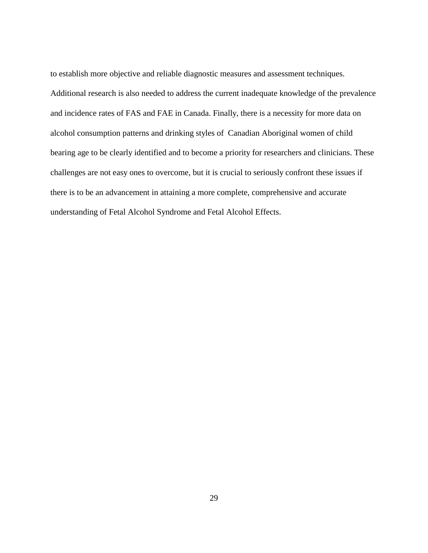to establish more objective and reliable diagnostic measures and assessment techniques. Additional research is also needed to address the current inadequate knowledge of the prevalence and incidence rates of FAS and FAE in Canada. Finally, there is a necessity for more data on alcohol consumption patterns and drinking styles of Canadian Aboriginal women of child bearing age to be clearly identified and to become a priority for researchers and clinicians. These challenges are not easy ones to overcome, but it is crucial to seriously confront these issues if there is to be an advancement in attaining a more complete, comprehensive and accurate understanding of Fetal Alcohol Syndrome and Fetal Alcohol Effects.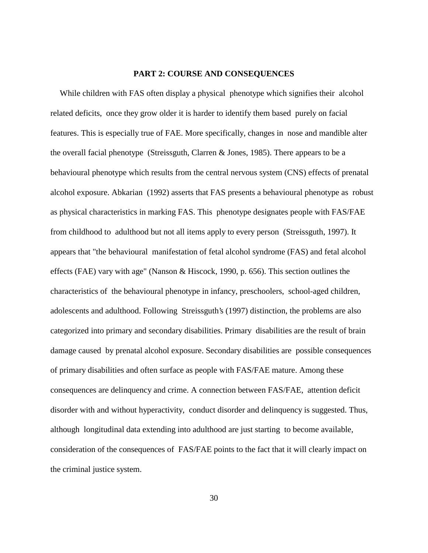#### **PART 2: COURSE AND CONSEQUENCES**

While children with FAS often display a physical phenotype which signifies their alcohol related deficits, once they grow older it is harder to identify them based purely on facial features. This is especially true of FAE. More specifically, changes in nose and mandible alter the overall facial phenotype (Streissguth, Clarren & Jones, 1985). There appears to be a behavioural phenotype which results from the central nervous system (CNS) effects of prenatal alcohol exposure. Abkarian (1992) asserts that FAS presents a behavioural phenotype as robust as physical characteristics in marking FAS. This phenotype designates people with FAS/FAE from childhood to adulthood but not all items apply to every person (Streissguth, 1997). It appears that "the behavioural manifestation of fetal alcohol syndrome (FAS) and fetal alcohol effects (FAE) vary with age" (Nanson & Hiscock, 1990, p. 656). This section outlines the characteristics of the behavioural phenotype in infancy, preschoolers, school-aged children, adolescents and adulthood. Following Streissguth's (1997) distinction, the problems are also categorized into primary and secondary disabilities. Primary disabilities are the result of brain damage caused by prenatal alcohol exposure. Secondary disabilities are possible consequences of primary disabilities and often surface as people with FAS/FAE mature. Among these consequences are delinquency and crime. A connection between FAS/FAE, attention deficit disorder with and without hyperactivity, conduct disorder and delinquency is suggested. Thus, although longitudinal data extending into adulthood are just starting to become available, consideration of the consequences of FAS/FAE points to the fact that it will clearly impact on the criminal justice system.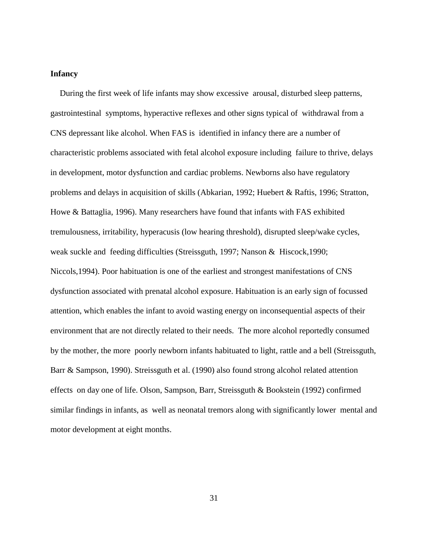#### **Infancy**

During the first week of life infants may show excessive arousal, disturbed sleep patterns, gastrointestinal symptoms, hyperactive reflexes and other signs typical of withdrawal from a CNS depressant like alcohol. When FAS is identified in infancy there are a number of characteristic problems associated with fetal alcohol exposure including failure to thrive, delays in development, motor dysfunction and cardiac problems. Newborns also have regulatory problems and delays in acquisition of skills (Abkarian, 1992; Huebert & Raftis, 1996; Stratton, Howe & Battaglia, 1996). Many researchers have found that infants with FAS exhibited tremulousness, irritability, hyperacusis (low hearing threshold), disrupted sleep/wake cycles, weak suckle and feeding difficulties (Streissguth, 1997; Nanson & Hiscock,1990; Niccols,1994). Poor habituation is one of the earliest and strongest manifestations of CNS dysfunction associated with prenatal alcohol exposure. Habituation is an early sign of focussed attention, which enables the infant to avoid wasting energy on inconsequential aspects of their environment that are not directly related to their needs. The more alcohol reportedly consumed by the mother, the more poorly newborn infants habituated to light, rattle and a bell (Streissguth, Barr & Sampson, 1990). Streissguth et al. (1990) also found strong alcohol related attention effects on day one of life. Olson, Sampson, Barr, Streissguth & Bookstein (1992) confirmed similar findings in infants, as well as neonatal tremors along with significantly lower mental and motor development at eight months.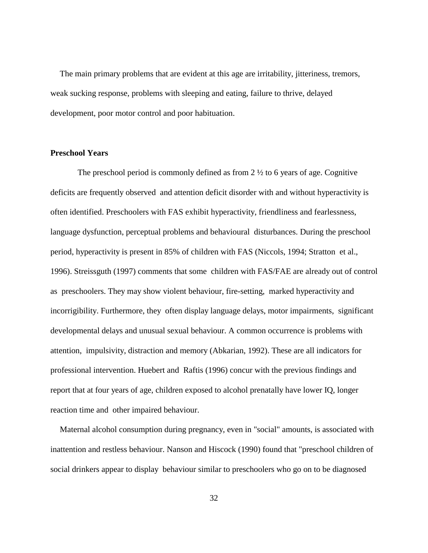The main primary problems that are evident at this age are irritability, jitteriness, tremors, weak sucking response, problems with sleeping and eating, failure to thrive, delayed development, poor motor control and poor habituation.

#### **Preschool Years**

 The preschool period is commonly defined as from 2 ½ to 6 years of age. Cognitive deficits are frequently observed and attention deficit disorder with and without hyperactivity is often identified. Preschoolers with FAS exhibit hyperactivity, friendliness and fearlessness, language dysfunction, perceptual problems and behavioural disturbances. During the preschool period, hyperactivity is present in 85% of children with FAS (Niccols, 1994; Stratton et al., 1996). Streissguth (1997) comments that some children with FAS/FAE are already out of control as preschoolers. They may show violent behaviour, fire-setting, marked hyperactivity and incorrigibility. Furthermore, they often display language delays, motor impairments, significant developmental delays and unusual sexual behaviour. A common occurrence is problems with attention, impulsivity, distraction and memory (Abkarian, 1992). These are all indicators for professional intervention. Huebert and Raftis (1996) concur with the previous findings and report that at four years of age, children exposed to alcohol prenatally have lower IQ, longer reaction time and other impaired behaviour.

Maternal alcohol consumption during pregnancy, even in "social" amounts, is associated with inattention and restless behaviour. Nanson and Hiscock (1990) found that "preschool children of social drinkers appear to display behaviour similar to preschoolers who go on to be diagnosed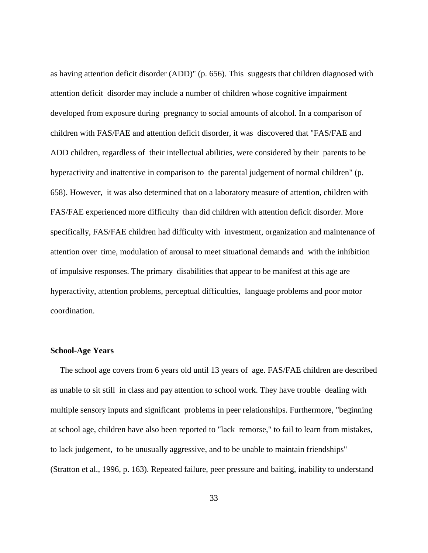as having attention deficit disorder (ADD)" (p. 656). This suggests that children diagnosed with attention deficit disorder may include a number of children whose cognitive impairment developed from exposure during pregnancy to social amounts of alcohol. In a comparison of children with FAS/FAE and attention deficit disorder, it was discovered that "FAS/FAE and ADD children, regardless of their intellectual abilities, were considered by their parents to be hyperactivity and inattentive in comparison to the parental judgement of normal children" (p. 658). However, it was also determined that on a laboratory measure of attention, children with FAS/FAE experienced more difficulty than did children with attention deficit disorder. More specifically, FAS/FAE children had difficulty with investment, organization and maintenance of attention over time, modulation of arousal to meet situational demands and with the inhibition of impulsive responses. The primary disabilities that appear to be manifest at this age are hyperactivity, attention problems, perceptual difficulties, language problems and poor motor coordination.

### **School-Age Years**

The school age covers from 6 years old until 13 years of age. FAS/FAE children are described as unable to sit still in class and pay attention to school work. They have trouble dealing with multiple sensory inputs and significant problems in peer relationships. Furthermore, "beginning at school age, children have also been reported to "lack remorse," to fail to learn from mistakes, to lack judgement, to be unusually aggressive, and to be unable to maintain friendships" (Stratton et al., 1996, p. 163). Repeated failure, peer pressure and baiting, inability to understand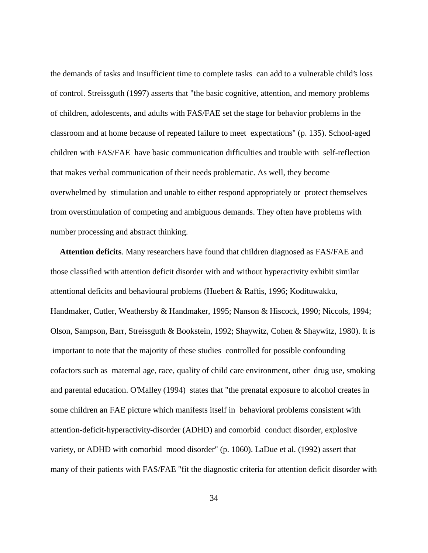the demands of tasks and insufficient time to complete tasks can add to a vulnerable child's loss of control. Streissguth (1997) asserts that "the basic cognitive, attention, and memory problems of children, adolescents, and adults with FAS/FAE set the stage for behavior problems in the classroom and at home because of repeated failure to meet expectations" (p. 135). School-aged children with FAS/FAE have basic communication difficulties and trouble with self-reflection that makes verbal communication of their needs problematic. As well, they become overwhelmed by stimulation and unable to either respond appropriately or protect themselves from overstimulation of competing and ambiguous demands. They often have problems with number processing and abstract thinking.

**Attention deficits**. Many researchers have found that children diagnosed as FAS/FAE and those classified with attention deficit disorder with and without hyperactivity exhibit similar attentional deficits and behavioural problems (Huebert & Raftis, 1996; Kodituwakku, Handmaker, Cutler, Weathersby & Handmaker, 1995; Nanson & Hiscock, 1990; Niccols, 1994; Olson, Sampson, Barr, Streissguth & Bookstein, 1992; Shaywitz, Cohen & Shaywitz, 1980). It is important to note that the majority of these studies controlled for possible confounding cofactors such as maternal age, race, quality of child care environment, other drug use, smoking and parental education. O'Malley (1994) states that "the prenatal exposure to alcohol creates in some children an FAE picture which manifests itself in behavioral problems consistent with attention-deficit-hyperactivity-disorder (ADHD) and comorbid conduct disorder, explosive variety, or ADHD with comorbid mood disorder" (p. 1060). LaDue et al. (1992) assert that many of their patients with FAS/FAE "fit the diagnostic criteria for attention deficit disorder with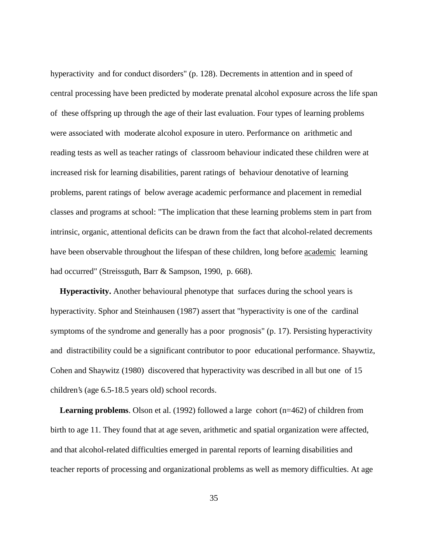hyperactivity and for conduct disorders" (p. 128). Decrements in attention and in speed of central processing have been predicted by moderate prenatal alcohol exposure across the life span of these offspring up through the age of their last evaluation. Four types of learning problems were associated with moderate alcohol exposure in utero. Performance on arithmetic and reading tests as well as teacher ratings of classroom behaviour indicated these children were at increased risk for learning disabilities, parent ratings of behaviour denotative of learning problems, parent ratings of below average academic performance and placement in remedial classes and programs at school: "The implication that these learning problems stem in part from intrinsic, organic, attentional deficits can be drawn from the fact that alcohol-related decrements have been observable throughout the lifespan of these children, long before academic learning had occurred" (Streissguth, Barr & Sampson, 1990, p. 668).

**Hyperactivity.** Another behavioural phenotype that surfaces during the school years is hyperactivity. Sphor and Steinhausen (1987) assert that "hyperactivity is one of the cardinal symptoms of the syndrome and generally has a poor prognosis" (p. 17). Persisting hyperactivity and distractibility could be a significant contributor to poor educational performance. Shaywtiz, Cohen and Shaywitz (1980) discovered that hyperactivity was described in all but one of 15 children's (age 6.5-18.5 years old) school records.

**Learning problems**. Olson et al. (1992) followed a large cohort (n=462) of children from birth to age 11. They found that at age seven, arithmetic and spatial organization were affected, and that alcohol-related difficulties emerged in parental reports of learning disabilities and teacher reports of processing and organizational problems as well as memory difficulties. At age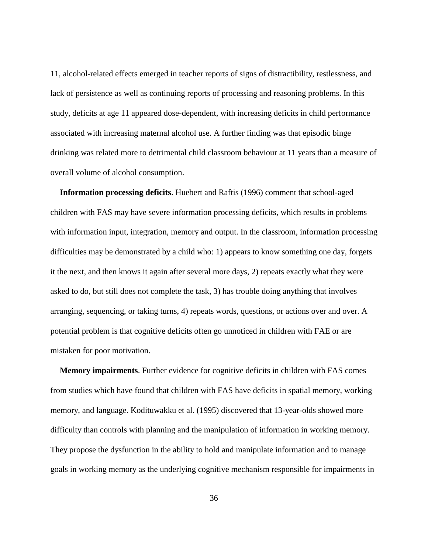11, alcohol-related effects emerged in teacher reports of signs of distractibility, restlessness, and lack of persistence as well as continuing reports of processing and reasoning problems. In this study, deficits at age 11 appeared dose-dependent, with increasing deficits in child performance associated with increasing maternal alcohol use. A further finding was that episodic binge drinking was related more to detrimental child classroom behaviour at 11 years than a measure of overall volume of alcohol consumption.

**Information processing deficits**. Huebert and Raftis (1996) comment that school-aged children with FAS may have severe information processing deficits, which results in problems with information input, integration, memory and output. In the classroom, information processing difficulties may be demonstrated by a child who: 1) appears to know something one day, forgets it the next, and then knows it again after several more days, 2) repeats exactly what they were asked to do, but still does not complete the task, 3) has trouble doing anything that involves arranging, sequencing, or taking turns, 4) repeats words, questions, or actions over and over. A potential problem is that cognitive deficits often go unnoticed in children with FAE or are mistaken for poor motivation.

**Memory impairments**. Further evidence for cognitive deficits in children with FAS comes from studies which have found that children with FAS have deficits in spatial memory, working memory, and language. Kodituwakku et al. (1995) discovered that 13-year-olds showed more difficulty than controls with planning and the manipulation of information in working memory. They propose the dysfunction in the ability to hold and manipulate information and to manage goals in working memory as the underlying cognitive mechanism responsible for impairments in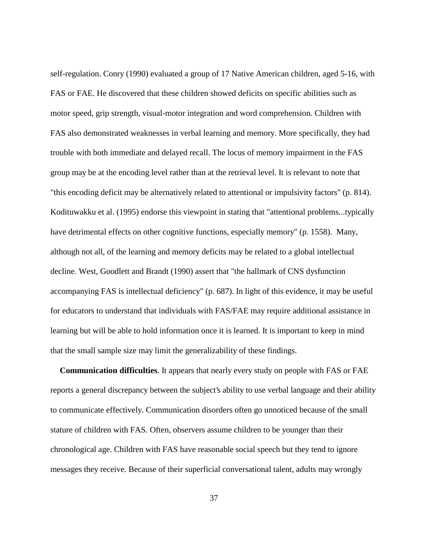self-regulation. Conry (1990) evaluated a group of 17 Native American children, aged 5-16, with FAS or FAE. He discovered that these children showed deficits on specific abilities such as motor speed, grip strength, visual-motor integration and word comprehension. Children with FAS also demonstrated weaknesses in verbal learning and memory. More specifically, they had trouble with both immediate and delayed recall. The locus of memory impairment in the FAS group may be at the encoding level rather than at the retrieval level. It is relevant to note that "this encoding deficit may be alternatively related to attentional or impulsivity factors" (p. 814). Kodituwakku et al. (1995) endorse this viewpoint in stating that "attentional problems...typically have detrimental effects on other cognitive functions, especially memory" (p. 1558). Many, although not all, of the learning and memory deficits may be related to a global intellectual decline. West, Goodlett and Brandt (1990) assert that "the hallmark of CNS dysfunction accompanying FAS is intellectual deficiency" (p. 687). In light of this evidence, it may be useful for educators to understand that individuals with FAS/FAE may require additional assistance in learning but will be able to hold information once it is learned. It is important to keep in mind that the small sample size may limit the generalizability of these findings.

**Communication difficulties**. It appears that nearly every study on people with FAS or FAE reports a general discrepancy between the subject's ability to use verbal language and their ability to communicate effectively. Communication disorders often go unnoticed because of the small stature of children with FAS. Often, observers assume children to be younger than their chronological age. Children with FAS have reasonable social speech but they tend to ignore messages they receive. Because of their superficial conversational talent, adults may wrongly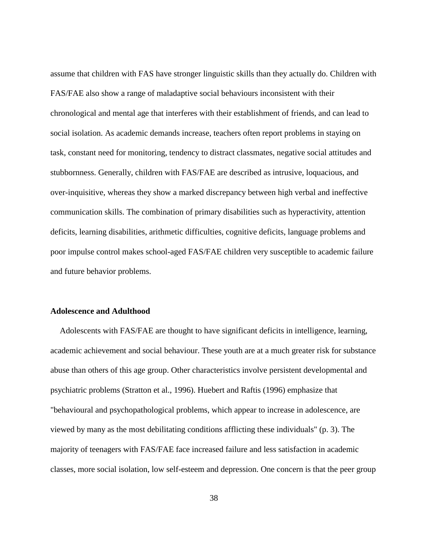assume that children with FAS have stronger linguistic skills than they actually do. Children with FAS/FAE also show a range of maladaptive social behaviours inconsistent with their chronological and mental age that interferes with their establishment of friends, and can lead to social isolation. As academic demands increase, teachers often report problems in staying on task, constant need for monitoring, tendency to distract classmates, negative social attitudes and stubbornness. Generally, children with FAS/FAE are described as intrusive, loquacious, and over-inquisitive, whereas they show a marked discrepancy between high verbal and ineffective communication skills. The combination of primary disabilities such as hyperactivity, attention deficits, learning disabilities, arithmetic difficulties, cognitive deficits, language problems and poor impulse control makes school-aged FAS/FAE children very susceptible to academic failure and future behavior problems.

# **Adolescence and Adulthood**

Adolescents with FAS/FAE are thought to have significant deficits in intelligence, learning, academic achievement and social behaviour. These youth are at a much greater risk for substance abuse than others of this age group. Other characteristics involve persistent developmental and psychiatric problems (Stratton et al., 1996). Huebert and Raftis (1996) emphasize that "behavioural and psychopathological problems, which appear to increase in adolescence, are viewed by many as the most debilitating conditions afflicting these individuals" (p. 3). The majority of teenagers with FAS/FAE face increased failure and less satisfaction in academic classes, more social isolation, low self-esteem and depression. One concern is that the peer group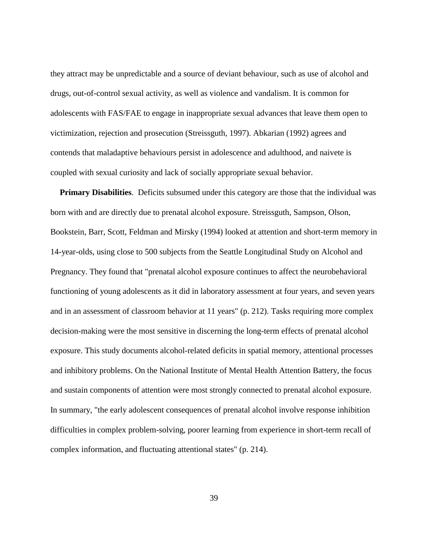they attract may be unpredictable and a source of deviant behaviour, such as use of alcohol and drugs, out-of-control sexual activity, as well as violence and vandalism. It is common for adolescents with FAS/FAE to engage in inappropriate sexual advances that leave them open to victimization, rejection and prosecution (Streissguth, 1997). Abkarian (1992) agrees and contends that maladaptive behaviours persist in adolescence and adulthood, and naivete is coupled with sexual curiosity and lack of socially appropriate sexual behavior.

**Primary Disabilities**. Deficits subsumed under this category are those that the individual was born with and are directly due to prenatal alcohol exposure. Streissguth, Sampson, Olson, Bookstein, Barr, Scott, Feldman and Mirsky (1994) looked at attention and short-term memory in 14-year-olds, using close to 500 subjects from the Seattle Longitudinal Study on Alcohol and Pregnancy. They found that "prenatal alcohol exposure continues to affect the neurobehavioral functioning of young adolescents as it did in laboratory assessment at four years, and seven years and in an assessment of classroom behavior at 11 years" (p. 212). Tasks requiring more complex decision-making were the most sensitive in discerning the long-term effects of prenatal alcohol exposure. This study documents alcohol-related deficits in spatial memory, attentional processes and inhibitory problems. On the National Institute of Mental Health Attention Battery, the focus and sustain components of attention were most strongly connected to prenatal alcohol exposure. In summary, "the early adolescent consequences of prenatal alcohol involve response inhibition difficulties in complex problem-solving, poorer learning from experience in short-term recall of complex information, and fluctuating attentional states" (p. 214).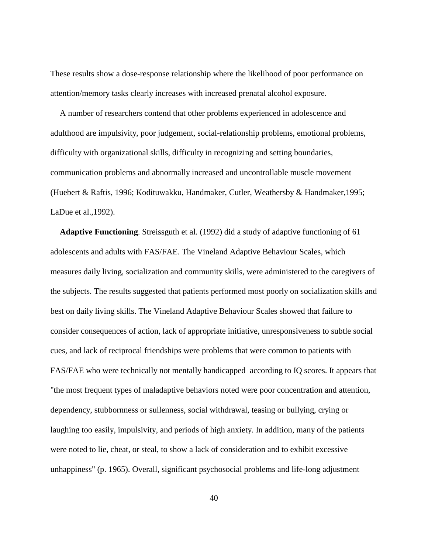These results show a dose-response relationship where the likelihood of poor performance on attention/memory tasks clearly increases with increased prenatal alcohol exposure.

A number of researchers contend that other problems experienced in adolescence and adulthood are impulsivity, poor judgement, social-relationship problems, emotional problems, difficulty with organizational skills, difficulty in recognizing and setting boundaries, communication problems and abnormally increased and uncontrollable muscle movement (Huebert & Raftis, 1996; Kodituwakku, Handmaker, Cutler, Weathersby & Handmaker,1995; LaDue et al.,1992).

**Adaptive Functioning**. Streissguth et al. (1992) did a study of adaptive functioning of 61 adolescents and adults with FAS/FAE. The Vineland Adaptive Behaviour Scales, which measures daily living, socialization and community skills, were administered to the caregivers of the subjects. The results suggested that patients performed most poorly on socialization skills and best on daily living skills. The Vineland Adaptive Behaviour Scales showed that failure to consider consequences of action, lack of appropriate initiative, unresponsiveness to subtle social cues, and lack of reciprocal friendships were problems that were common to patients with FAS/FAE who were technically not mentally handicapped according to IQ scores. It appears that "the most frequent types of maladaptive behaviors noted were poor concentration and attention, dependency, stubbornness or sullenness, social withdrawal, teasing or bullying, crying or laughing too easily, impulsivity, and periods of high anxiety. In addition, many of the patients were noted to lie, cheat, or steal, to show a lack of consideration and to exhibit excessive unhappiness" (p. 1965). Overall, significant psychosocial problems and life-long adjustment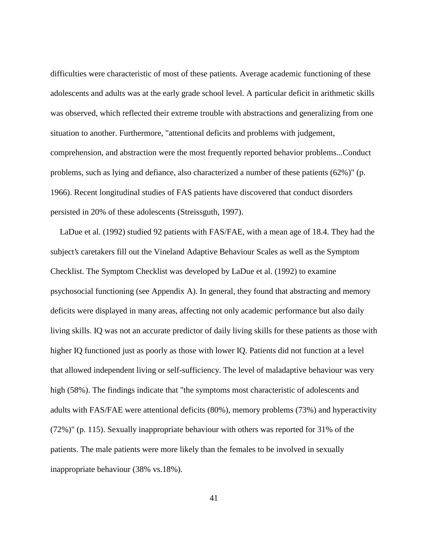difficulties were characteristic of most of these patients. Average academic functioning of these adolescents and adults was at the early grade school level. A particular deficit in arithmetic skills was observed, which reflected their extreme trouble with abstractions and generalizing from one situation to another. Furthermore, "attentional deficits and problems with judgement, comprehension, and abstraction were the most frequently reported behavior problems...Conduct problems, such as lying and defiance, also characterized a number of these patients (62%)" (p. 1966). Recent longitudinal studies of FAS patients have discovered that conduct disorders persisted in 20% of these adolescents (Streissguth, 1997).

LaDue et al. (1992) studied 92 patients with FAS/FAE, with a mean age of 18.4. They had the subject's caretakers fill out the Vineland Adaptive Behaviour Scales as well as the Symptom Checklist. The Symptom Checklist was developed by LaDue et al. (1992) to examine psychosocial functioning (see Appendix A). In general, they found that abstracting and memory deficits were displayed in many areas, affecting not only academic performance but also daily living skills. IQ was not an accurate predictor of daily living skills for these patients as those with higher IQ functioned just as poorly as those with lower IQ. Patients did not function at a level that allowed independent living or self-sufficiency. The level of maladaptive behaviour was very high (58%). The findings indicate that "the symptoms most characteristic of adolescents and adults with FAS/FAE were attentional deficits (80%), memory problems (73%) and hyperactivity (72%)" (p. 115). Sexually inappropriate behaviour with others was reported for 31% of the patients. The male patients were more likely than the females to be involved in sexually inappropriate behaviour (38% vs.18%).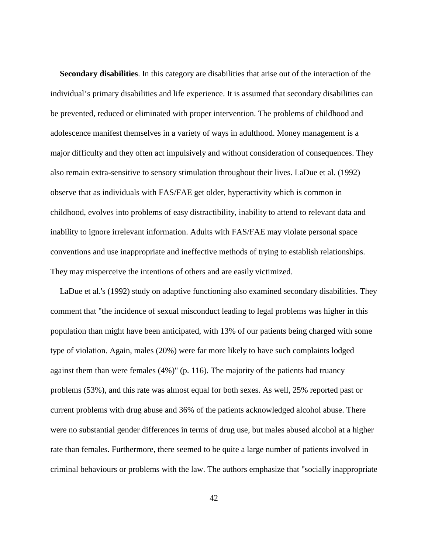**Secondary disabilities**. In this category are disabilities that arise out of the interaction of the individual's primary disabilities and life experience. It is assumed that secondary disabilities can be prevented, reduced or eliminated with proper intervention. The problems of childhood and adolescence manifest themselves in a variety of ways in adulthood. Money management is a major difficulty and they often act impulsively and without consideration of consequences. They also remain extra-sensitive to sensory stimulation throughout their lives. LaDue et al. (1992) observe that as individuals with FAS/FAE get older, hyperactivity which is common in childhood, evolves into problems of easy distractibility, inability to attend to relevant data and inability to ignore irrelevant information. Adults with FAS/FAE may violate personal space conventions and use inappropriate and ineffective methods of trying to establish relationships. They may misperceive the intentions of others and are easily victimized.

LaDue et al.'s (1992) study on adaptive functioning also examined secondary disabilities. They comment that "the incidence of sexual misconduct leading to legal problems was higher in this population than might have been anticipated, with 13% of our patients being charged with some type of violation. Again, males (20%) were far more likely to have such complaints lodged against them than were females (4%)" (p. 116). The majority of the patients had truancy problems (53%), and this rate was almost equal for both sexes. As well, 25% reported past or current problems with drug abuse and 36% of the patients acknowledged alcohol abuse. There were no substantial gender differences in terms of drug use, but males abused alcohol at a higher rate than females. Furthermore, there seemed to be quite a large number of patients involved in criminal behaviours or problems with the law. The authors emphasize that "socially inappropriate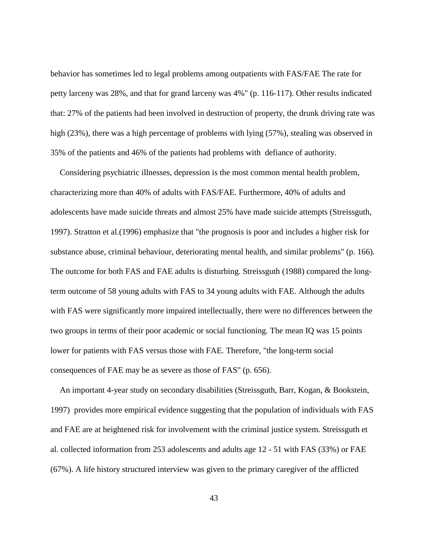behavior has sometimes led to legal problems among outpatients with FAS/FAE The rate for petty larceny was 28%, and that for grand larceny was 4%" (p. 116-117). Other results indicated that: 27% of the patients had been involved in destruction of property, the drunk driving rate was high (23%), there was a high percentage of problems with lying (57%), stealing was observed in 35% of the patients and 46% of the patients had problems with defiance of authority.

Considering psychiatric illnesses, depression is the most common mental health problem, characterizing more than 40% of adults with FAS/FAE. Furthermore, 40% of adults and adolescents have made suicide threats and almost 25% have made suicide attempts (Streissguth, 1997). Stratton et al.(1996) emphasize that "the prognosis is poor and includes a higher risk for substance abuse, criminal behaviour, deteriorating mental health, and similar problems" (p. 166). The outcome for both FAS and FAE adults is disturbing. Streissguth (1988) compared the longterm outcome of 58 young adults with FAS to 34 young adults with FAE. Although the adults with FAS were significantly more impaired intellectually, there were no differences between the two groups in terms of their poor academic or social functioning. The mean IQ was 15 points lower for patients with FAS versus those with FAE. Therefore, "the long-term social consequences of FAE may be as severe as those of FAS" (p. 656).

An important 4-year study on secondary disabilities (Streissguth, Barr, Kogan, & Bookstein, 1997) provides more empirical evidence suggesting that the population of individuals with FAS and FAE are at heightened risk for involvement with the criminal justice system. Streissguth et al. collected information from 253 adolescents and adults age 12 - 51 with FAS (33%) or FAE (67%). A life history structured interview was given to the primary caregiver of the afflicted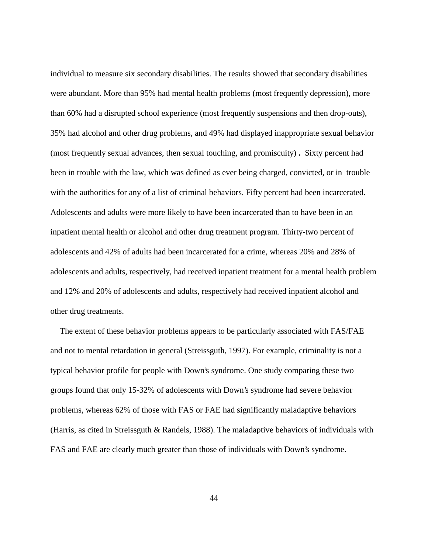individual to measure six secondary disabilities. The results showed that secondary disabilities were abundant. More than 95% had mental health problems (most frequently depression), more than 60% had a disrupted school experience (most frequently suspensions and then drop-outs), 35% had alcohol and other drug problems, and 49% had displayed inappropriate sexual behavior (most frequently sexual advances, then sexual touching, and promiscuity) **.** Sixty percent had been in trouble with the law, which was defined as ever being charged, convicted, or in trouble with the authorities for any of a list of criminal behaviors. Fifty percent had been incarcerated. Adolescents and adults were more likely to have been incarcerated than to have been in an inpatient mental health or alcohol and other drug treatment program. Thirty-two percent of adolescents and 42% of adults had been incarcerated for a crime, whereas 20% and 28% of adolescents and adults, respectively, had received inpatient treatment for a mental health problem and 12% and 20% of adolescents and adults, respectively had received inpatient alcohol and other drug treatments.

The extent of these behavior problems appears to be particularly associated with FAS/FAE and not to mental retardation in general (Streissguth, 1997). For example, criminality is not a typical behavior profile for people with Down's syndrome. One study comparing these two groups found that only 15-32% of adolescents with Down's syndrome had severe behavior problems, whereas 62% of those with FAS or FAE had significantly maladaptive behaviors (Harris, as cited in Streissguth & Randels, 1988). The maladaptive behaviors of individuals with FAS and FAE are clearly much greater than those of individuals with Down's syndrome.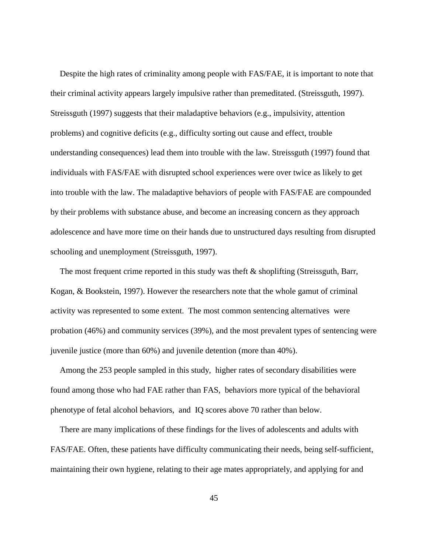Despite the high rates of criminality among people with FAS/FAE, it is important to note that their criminal activity appears largely impulsive rather than premeditated. (Streissguth, 1997). Streissguth (1997) suggests that their maladaptive behaviors (e.g., impulsivity, attention problems) and cognitive deficits (e.g., difficulty sorting out cause and effect, trouble understanding consequences) lead them into trouble with the law. Streissguth (1997) found that individuals with FAS/FAE with disrupted school experiences were over twice as likely to get into trouble with the law. The maladaptive behaviors of people with FAS/FAE are compounded by their problems with substance abuse, and become an increasing concern as they approach adolescence and have more time on their hands due to unstructured days resulting from disrupted schooling and unemployment (Streissguth, 1997).

The most frequent crime reported in this study was theft & shoplifting (Streissguth, Barr, Kogan, & Bookstein, 1997). However the researchers note that the whole gamut of criminal activity was represented to some extent. The most common sentencing alternatives were probation (46%) and community services (39%), and the most prevalent types of sentencing were juvenile justice (more than 60%) and juvenile detention (more than 40%).

Among the 253 people sampled in this study, higher rates of secondary disabilities were found among those who had FAE rather than FAS, behaviors more typical of the behavioral phenotype of fetal alcohol behaviors, and IQ scores above 70 rather than below.

There are many implications of these findings for the lives of adolescents and adults with FAS/FAE. Often, these patients have difficulty communicating their needs, being self-sufficient, maintaining their own hygiene, relating to their age mates appropriately, and applying for and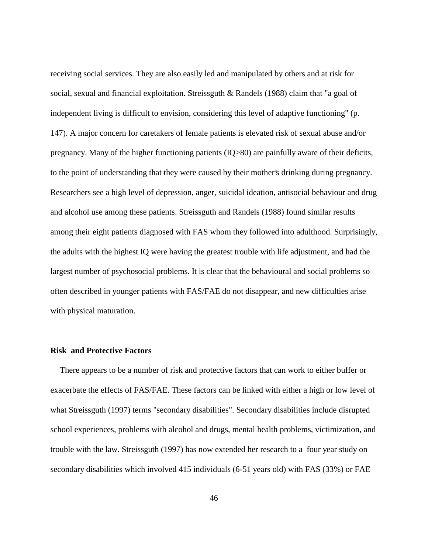receiving social services. They are also easily led and manipulated by others and at risk for social, sexual and financial exploitation. Streissguth & Randels (1988) claim that "a goal of independent living is difficult to envision, considering this level of adaptive functioning" (p. 147). A major concern for caretakers of female patients is elevated risk of sexual abuse and/or pregnancy. Many of the higher functioning patients (IQ>80) are painfully aware of their deficits, to the point of understanding that they were caused by their mother's drinking during pregnancy. Researchers see a high level of depression, anger, suicidal ideation, antisocial behaviour and drug and alcohol use among these patients. Streissguth and Randels (1988) found similar results among their eight patients diagnosed with FAS whom they followed into adulthood. Surprisingly, the adults with the highest IQ were having the greatest trouble with life adjustment, and had the largest number of psychosocial problems. It is clear that the behavioural and social problems so often described in younger patients with FAS/FAE do not disappear, and new difficulties arise with physical maturation.

#### **Risk and Protective Factors**

There appears to be a number of risk and protective factors that can work to either buffer or exacerbate the effects of FAS/FAE. These factors can be linked with either a high or low level of what Streissguth (1997) terms "secondary disabilities". Secondary disabilities include disrupted school experiences, problems with alcohol and drugs, mental health problems, victimization, and trouble with the law. Streissguth (1997) has now extended her research to a four year study on secondary disabilities which involved 415 individuals (6-51 years old) with FAS (33%) or FAE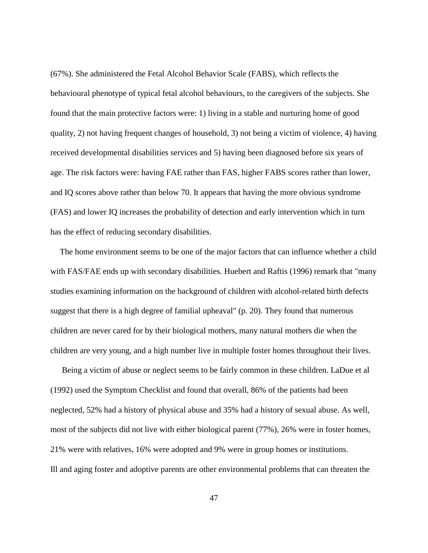(67%). She administered the Fetal Alcohol Behavior Scale (FABS), which reflects the behavioural phenotype of typical fetal alcohol behaviours, to the caregivers of the subjects. She found that the main protective factors were: 1) living in a stable and nurturing home of good quality, 2) not having frequent changes of household, 3) not being a victim of violence, 4) having received developmental disabilities services and 5) having been diagnosed before six years of age. The risk factors were: having FAE rather than FAS, higher FABS scores rather than lower, and IQ scores above rather than below 70. It appears that having the more obvious syndrome (FAS) and lower IQ increases the probability of detection and early intervention which in turn has the effect of reducing secondary disabilities.

The home environment seems to be one of the major factors that can influence whether a child with FAS/FAE ends up with secondary disabilities. Huebert and Raftis (1996) remark that "many studies examining information on the background of children with alcohol-related birth defects suggest that there is a high degree of familial upheaval" (p. 20). They found that numerous children are never cared for by their biological mothers, many natural mothers die when the children are very young, and a high number live in multiple foster homes throughout their lives.

Being a victim of abuse or neglect seems to be fairly common in these children. LaDue et al (1992) used the Symptom Checklist and found that overall, 86% of the patients had been neglected, 52% had a history of physical abuse and 35% had a history of sexual abuse. As well, most of the subjects did not live with either biological parent (77%), 26% were in foster homes, 21% were with relatives, 16% were adopted and 9% were in group homes or institutions. Ill and aging foster and adoptive parents are other environmental problems that can threaten the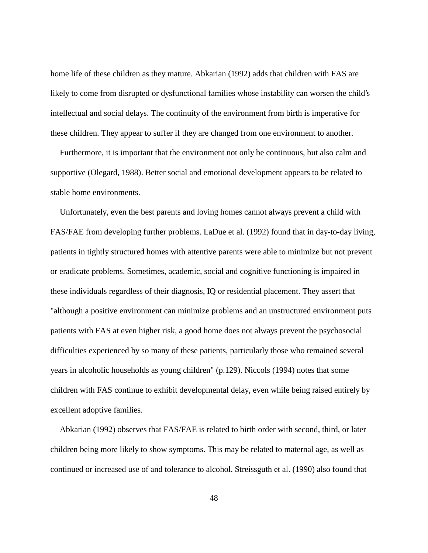home life of these children as they mature. Abkarian (1992) adds that children with FAS are likely to come from disrupted or dysfunctional families whose instability can worsen the child's intellectual and social delays. The continuity of the environment from birth is imperative for these children. They appear to suffer if they are changed from one environment to another.

Furthermore, it is important that the environment not only be continuous, but also calm and supportive (Olegard, 1988). Better social and emotional development appears to be related to stable home environments.

Unfortunately, even the best parents and loving homes cannot always prevent a child with FAS/FAE from developing further problems. LaDue et al. (1992) found that in day-to-day living, patients in tightly structured homes with attentive parents were able to minimize but not prevent or eradicate problems. Sometimes, academic, social and cognitive functioning is impaired in these individuals regardless of their diagnosis, IQ or residential placement. They assert that "although a positive environment can minimize problems and an unstructured environment puts patients with FAS at even higher risk, a good home does not always prevent the psychosocial difficulties experienced by so many of these patients, particularly those who remained several years in alcoholic households as young children" (p.129). Niccols (1994) notes that some children with FAS continue to exhibit developmental delay, even while being raised entirely by excellent adoptive families.

Abkarian (1992) observes that FAS/FAE is related to birth order with second, third, or later children being more likely to show symptoms. This may be related to maternal age, as well as continued or increased use of and tolerance to alcohol. Streissguth et al. (1990) also found that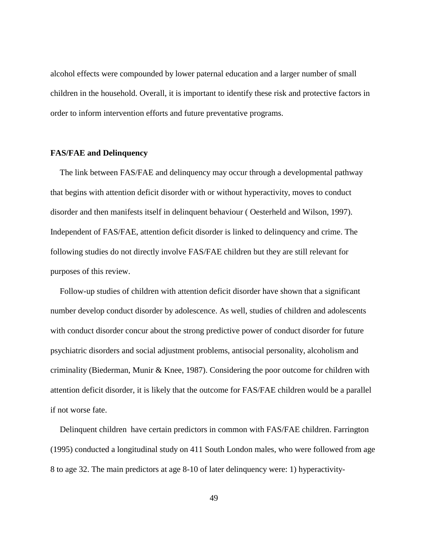alcohol effects were compounded by lower paternal education and a larger number of small children in the household. Overall, it is important to identify these risk and protective factors in order to inform intervention efforts and future preventative programs.

#### **FAS/FAE and Delinquency**

The link between FAS/FAE and delinquency may occur through a developmental pathway that begins with attention deficit disorder with or without hyperactivity, moves to conduct disorder and then manifests itself in delinquent behaviour ( Oesterheld and Wilson, 1997). Independent of FAS/FAE, attention deficit disorder is linked to delinquency and crime. The following studies do not directly involve FAS/FAE children but they are still relevant for purposes of this review.

Follow-up studies of children with attention deficit disorder have shown that a significant number develop conduct disorder by adolescence. As well, studies of children and adolescents with conduct disorder concur about the strong predictive power of conduct disorder for future psychiatric disorders and social adjustment problems, antisocial personality, alcoholism and criminality (Biederman, Munir & Knee, 1987). Considering the poor outcome for children with attention deficit disorder, it is likely that the outcome for FAS/FAE children would be a parallel if not worse fate.

Delinquent children have certain predictors in common with FAS/FAE children. Farrington (1995) conducted a longitudinal study on 411 South London males, who were followed from age 8 to age 32. The main predictors at age 8-10 of later delinquency were: 1) hyperactivity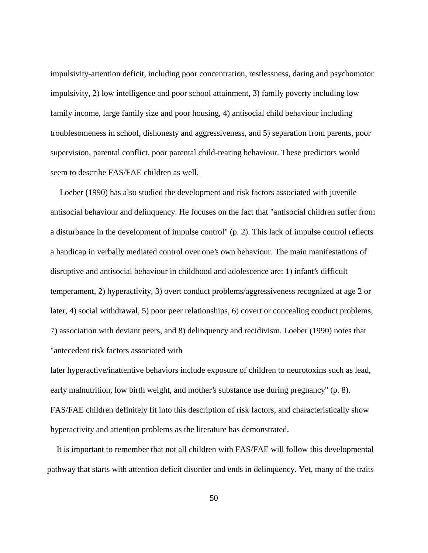impulsivity-attention deficit, including poor concentration, restlessness, daring and psychomotor impulsivity, 2) low intelligence and poor school attainment, 3) family poverty including low family income, large family size and poor housing, 4) antisocial child behaviour including troublesomeness in school, dishonesty and aggressiveness, and 5) separation from parents, poor supervision, parental conflict, poor parental child-rearing behaviour. These predictors would seem to describe FAS/FAE children as well.

Loeber (1990) has also studied the development and risk factors associated with juvenile antisocial behaviour and delinquency. He focuses on the fact that "antisocial children suffer from a disturbance in the development of impulse control" (p. 2). This lack of impulse control reflects a handicap in verbally mediated control over one's own behaviour. The main manifestations of disruptive and antisocial behaviour in childhood and adolescence are: 1) infant's difficult temperament, 2) hyperactivity, 3) overt conduct problems/aggressiveness recognized at age 2 or later, 4) social withdrawal, 5) poor peer relationships, 6) covert or concealing conduct problems, 7) association with deviant peers, and 8) delinquency and recidivism. Loeber (1990) notes that "antecedent risk factors associated with

later hyperactive/inattentive behaviors include exposure of children to neurotoxins such as lead, early malnutrition, low birth weight, and mother's substance use during pregnancy" (p. 8). FAS/FAE children definitely fit into this description of risk factors, and characteristically show hyperactivity and attention problems as the literature has demonstrated.

It is important to remember that not all children with FAS/FAE will follow this developmental pathway that starts with attention deficit disorder and ends in delinquency. Yet, many of the traits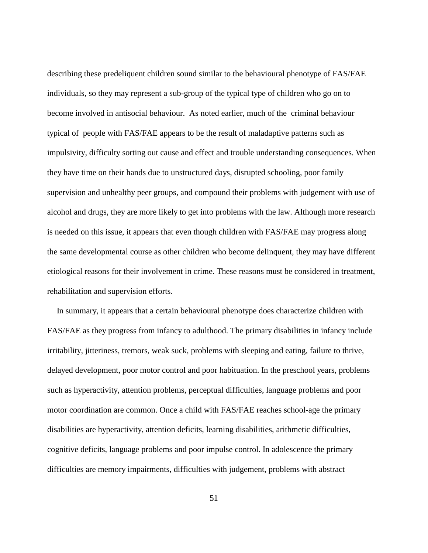describing these predeliquent children sound similar to the behavioural phenotype of FAS/FAE individuals, so they may represent a sub-group of the typical type of children who go on to become involved in antisocial behaviour. As noted earlier, much of the criminal behaviour typical of people with FAS/FAE appears to be the result of maladaptive patterns such as impulsivity, difficulty sorting out cause and effect and trouble understanding consequences. When they have time on their hands due to unstructured days, disrupted schooling, poor family supervision and unhealthy peer groups, and compound their problems with judgement with use of alcohol and drugs, they are more likely to get into problems with the law. Although more research is needed on this issue, it appears that even though children with FAS/FAE may progress along the same developmental course as other children who become delinquent, they may have different etiological reasons for their involvement in crime. These reasons must be considered in treatment, rehabilitation and supervision efforts.

In summary, it appears that a certain behavioural phenotype does characterize children with FAS/FAE as they progress from infancy to adulthood. The primary disabilities in infancy include irritability, jitteriness, tremors, weak suck, problems with sleeping and eating, failure to thrive, delayed development, poor motor control and poor habituation. In the preschool years, problems such as hyperactivity, attention problems, perceptual difficulties, language problems and poor motor coordination are common. Once a child with FAS/FAE reaches school-age the primary disabilities are hyperactivity, attention deficits, learning disabilities, arithmetic difficulties, cognitive deficits, language problems and poor impulse control. In adolescence the primary difficulties are memory impairments, difficulties with judgement, problems with abstract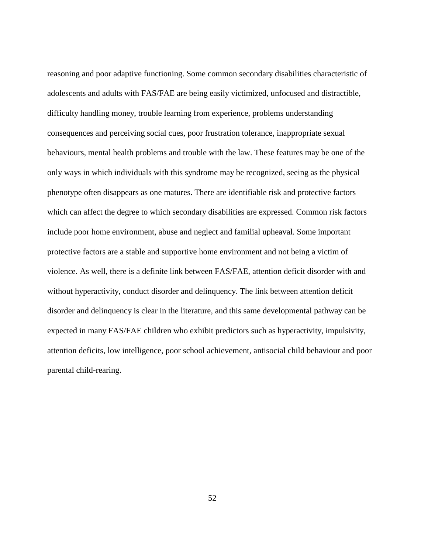reasoning and poor adaptive functioning. Some common secondary disabilities characteristic of adolescents and adults with FAS/FAE are being easily victimized, unfocused and distractible, difficulty handling money, trouble learning from experience, problems understanding consequences and perceiving social cues, poor frustration tolerance, inappropriate sexual behaviours, mental health problems and trouble with the law. These features may be one of the only ways in which individuals with this syndrome may be recognized, seeing as the physical phenotype often disappears as one matures. There are identifiable risk and protective factors which can affect the degree to which secondary disabilities are expressed. Common risk factors include poor home environment, abuse and neglect and familial upheaval. Some important protective factors are a stable and supportive home environment and not being a victim of violence. As well, there is a definite link between FAS/FAE, attention deficit disorder with and without hyperactivity, conduct disorder and delinquency. The link between attention deficit disorder and delinquency is clear in the literature, and this same developmental pathway can be expected in many FAS/FAE children who exhibit predictors such as hyperactivity, impulsivity, attention deficits, low intelligence, poor school achievement, antisocial child behaviour and poor parental child-rearing.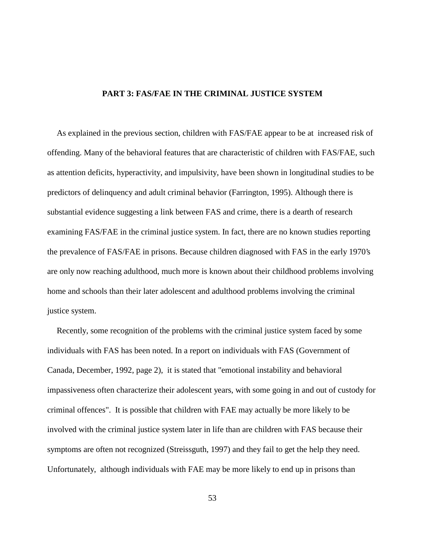# **PART 3: FAS/FAE IN THE CRIMINAL JUSTICE SYSTEM**

As explained in the previous section, children with FAS/FAE appear to be at increased risk of offending. Many of the behavioral features that are characteristic of children with FAS/FAE, such as attention deficits, hyperactivity, and impulsivity, have been shown in longitudinal studies to be predictors of delinquency and adult criminal behavior (Farrington, 1995). Although there is substantial evidence suggesting a link between FAS and crime, there is a dearth of research examining FAS/FAE in the criminal justice system. In fact, there are no known studies reporting the prevalence of FAS/FAE in prisons. Because children diagnosed with FAS in the early 1970's are only now reaching adulthood, much more is known about their childhood problems involving home and schools than their later adolescent and adulthood problems involving the criminal justice system.

Recently, some recognition of the problems with the criminal justice system faced by some individuals with FAS has been noted. In a report on individuals with FAS (Government of Canada, December, 1992, page 2), it is stated that "emotional instability and behavioral impassiveness often characterize their adolescent years, with some going in and out of custody for criminal offences". It is possible that children with FAE may actually be more likely to be involved with the criminal justice system later in life than are children with FAS because their symptoms are often not recognized (Streissguth, 1997) and they fail to get the help they need. Unfortunately, although individuals with FAE may be more likely to end up in prisons than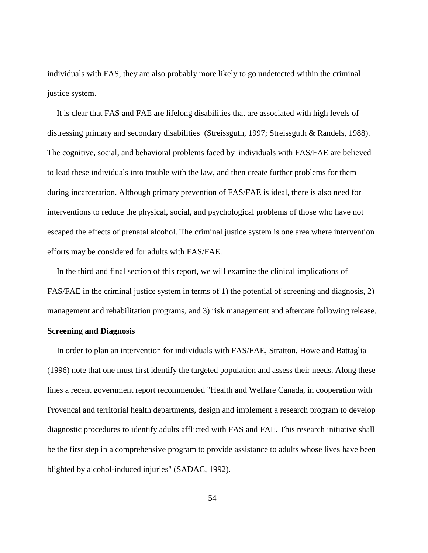individuals with FAS, they are also probably more likely to go undetected within the criminal justice system.

It is clear that FAS and FAE are lifelong disabilities that are associated with high levels of distressing primary and secondary disabilities (Streissguth, 1997; Streissguth & Randels, 1988). The cognitive, social, and behavioral problems faced by individuals with FAS/FAE are believed to lead these individuals into trouble with the law, and then create further problems for them during incarceration. Although primary prevention of FAS/FAE is ideal, there is also need for interventions to reduce the physical, social, and psychological problems of those who have not escaped the effects of prenatal alcohol. The criminal justice system is one area where intervention efforts may be considered for adults with FAS/FAE.

In the third and final section of this report, we will examine the clinical implications of FAS/FAE in the criminal justice system in terms of 1) the potential of screening and diagnosis, 2) management and rehabilitation programs, and 3) risk management and aftercare following release. **Screening and Diagnosis**

In order to plan an intervention for individuals with FAS/FAE, Stratton, Howe and Battaglia (1996) note that one must first identify the targeted population and assess their needs. Along these lines a recent government report recommended "Health and Welfare Canada, in cooperation with Provencal and territorial health departments, design and implement a research program to develop diagnostic procedures to identify adults afflicted with FAS and FAE. This research initiative shall be the first step in a comprehensive program to provide assistance to adults whose lives have been blighted by alcohol-induced injuries" (SADAC, 1992).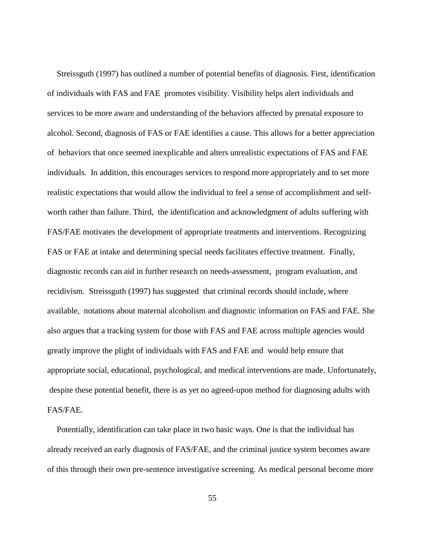Streissguth (1997) has outlined a number of potential benefits of diagnosis. First, identification of individuals with FAS and FAE promotes visibility. Visibility helps alert individuals and services to be more aware and understanding of the behaviors affected by prenatal exposure to alcohol. Second, diagnosis of FAS or FAE identifies a cause. This allows for a better appreciation of behaviors that once seemed inexplicable and alters unrealistic expectations of FAS and FAE individuals. In addition, this encourages services to respond more appropriately and to set more realistic expectations that would allow the individual to feel a sense of accomplishment and selfworth rather than failure. Third, the identification and acknowledgment of adults suffering with FAS/FAE motivates the development of appropriate treatments and interventions. Recognizing FAS or FAE at intake and determining special needs facilitates effective treatment. Finally, diagnostic records can aid in further research on needs-assessment, program evaluation, and recidivism. Streissguth (1997) has suggested that criminal records should include, where available, notations about maternal alcoholism and diagnostic information on FAS and FAE. She also argues that a tracking system for those with FAS and FAE across multiple agencies would greatly improve the plight of individuals with FAS and FAE and would help ensure that appropriate social, educational, psychological, and medical interventions are made. Unfortunately, despite these potential benefit, there is as yet no agreed-upon method for diagnosing adults with FAS/FAE.

Potentially, identification can take place in two basic ways. One is that the individual has already received an early diagnosis of FAS/FAE, and the criminal justice system becomes aware of this through their own pre-sentence investigative screening. As medical personal become more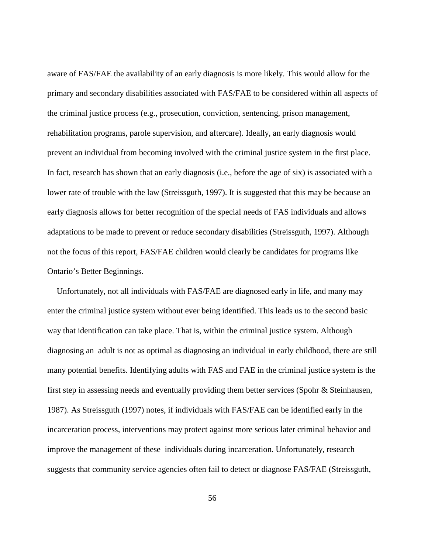aware of FAS/FAE the availability of an early diagnosis is more likely. This would allow for the primary and secondary disabilities associated with FAS/FAE to be considered within all aspects of the criminal justice process (e.g., prosecution, conviction, sentencing, prison management, rehabilitation programs, parole supervision, and aftercare). Ideally, an early diagnosis would prevent an individual from becoming involved with the criminal justice system in the first place. In fact, research has shown that an early diagnosis (i.e., before the age of six) is associated with a lower rate of trouble with the law (Streissguth, 1997). It is suggested that this may be because an early diagnosis allows for better recognition of the special needs of FAS individuals and allows adaptations to be made to prevent or reduce secondary disabilities (Streissguth, 1997). Although not the focus of this report, FAS/FAE children would clearly be candidates for programs like Ontario's Better Beginnings.

Unfortunately, not all individuals with FAS/FAE are diagnosed early in life, and many may enter the criminal justice system without ever being identified. This leads us to the second basic way that identification can take place. That is, within the criminal justice system. Although diagnosing an adult is not as optimal as diagnosing an individual in early childhood, there are still many potential benefits. Identifying adults with FAS and FAE in the criminal justice system is the first step in assessing needs and eventually providing them better services (Spohr & Steinhausen, 1987). As Streissguth (1997) notes, if individuals with FAS/FAE can be identified early in the incarceration process, interventions may protect against more serious later criminal behavior and improve the management of these individuals during incarceration. Unfortunately, research suggests that community service agencies often fail to detect or diagnose FAS/FAE (Streissguth,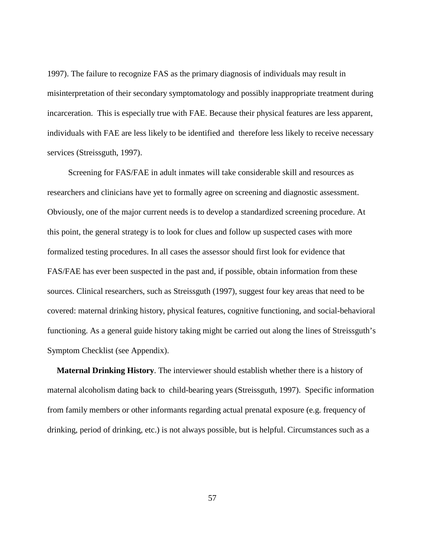1997). The failure to recognize FAS as the primary diagnosis of individuals may result in misinterpretation of their secondary symptomatology and possibly inappropriate treatment during incarceration. This is especially true with FAE. Because their physical features are less apparent, individuals with FAE are less likely to be identified and therefore less likely to receive necessary services (Streissguth, 1997).

 Screening for FAS/FAE in adult inmates will take considerable skill and resources as researchers and clinicians have yet to formally agree on screening and diagnostic assessment. Obviously, one of the major current needs is to develop a standardized screening procedure. At this point, the general strategy is to look for clues and follow up suspected cases with more formalized testing procedures. In all cases the assessor should first look for evidence that FAS/FAE has ever been suspected in the past and, if possible, obtain information from these sources. Clinical researchers, such as Streissguth (1997), suggest four key areas that need to be covered: maternal drinking history, physical features, cognitive functioning, and social-behavioral functioning. As a general guide history taking might be carried out along the lines of Streissguth's Symptom Checklist (see Appendix).

**Maternal Drinking History**. The interviewer should establish whether there is a history of maternal alcoholism dating back to child-bearing years (Streissguth, 1997). Specific information from family members or other informants regarding actual prenatal exposure (e.g. frequency of drinking, period of drinking, etc.) is not always possible, but is helpful. Circumstances such as a

57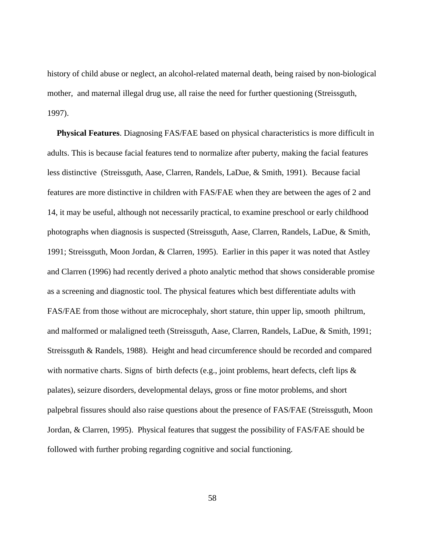history of child abuse or neglect, an alcohol-related maternal death, being raised by non-biological mother, and maternal illegal drug use, all raise the need for further questioning (Streissguth, 1997).

**Physical Features**. Diagnosing FAS/FAE based on physical characteristics is more difficult in adults. This is because facial features tend to normalize after puberty, making the facial features less distinctive (Streissguth, Aase, Clarren, Randels, LaDue, & Smith, 1991). Because facial features are more distinctive in children with FAS/FAE when they are between the ages of 2 and 14, it may be useful, although not necessarily practical, to examine preschool or early childhood photographs when diagnosis is suspected (Streissguth, Aase, Clarren, Randels, LaDue, & Smith, 1991; Streissguth, Moon Jordan, & Clarren, 1995). Earlier in this paper it was noted that Astley and Clarren (1996) had recently derived a photo analytic method that shows considerable promise as a screening and diagnostic tool. The physical features which best differentiate adults with FAS/FAE from those without are microcephaly, short stature, thin upper lip, smooth philtrum, and malformed or malaligned teeth (Streissguth, Aase, Clarren, Randels, LaDue, & Smith, 1991; Streissguth & Randels, 1988). Height and head circumference should be recorded and compared with normative charts. Signs of birth defects (e.g., joint problems, heart defects, cleft lips  $\&$ palates), seizure disorders, developmental delays, gross or fine motor problems, and short palpebral fissures should also raise questions about the presence of FAS/FAE (Streissguth, Moon Jordan, & Clarren, 1995). Physical features that suggest the possibility of FAS/FAE should be followed with further probing regarding cognitive and social functioning.

58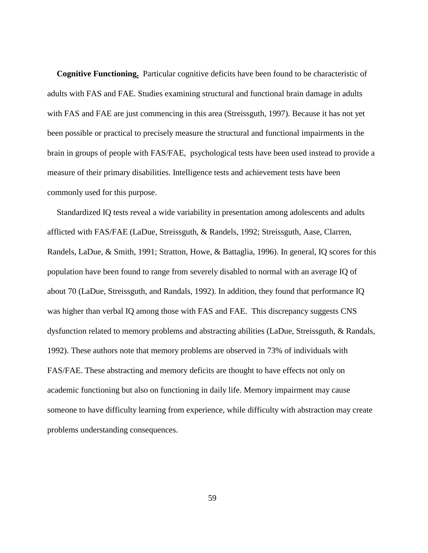**Cognitive Functioning.** Particular cognitive deficits have been found to be characteristic of adults with FAS and FAE. Studies examining structural and functional brain damage in adults with FAS and FAE are just commencing in this area (Streissguth, 1997). Because it has not yet been possible or practical to precisely measure the structural and functional impairments in the brain in groups of people with FAS/FAE, psychological tests have been used instead to provide a measure of their primary disabilities. Intelligence tests and achievement tests have been commonly used for this purpose.

Standardized IQ tests reveal a wide variability in presentation among adolescents and adults afflicted with FAS/FAE (LaDue, Streissguth, & Randels, 1992; Streissguth, Aase, Clarren, Randels, LaDue, & Smith, 1991; Stratton, Howe, & Battaglia, 1996). In general, IQ scores for this population have been found to range from severely disabled to normal with an average IQ of about 70 (LaDue, Streissguth, and Randals, 1992). In addition, they found that performance IQ was higher than verbal IQ among those with FAS and FAE. This discrepancy suggests CNS dysfunction related to memory problems and abstracting abilities (LaDue, Streissguth, & Randals, 1992). These authors note that memory problems are observed in 73% of individuals with FAS/FAE. These abstracting and memory deficits are thought to have effects not only on academic functioning but also on functioning in daily life. Memory impairment may cause someone to have difficulty learning from experience, while difficulty with abstraction may create problems understanding consequences.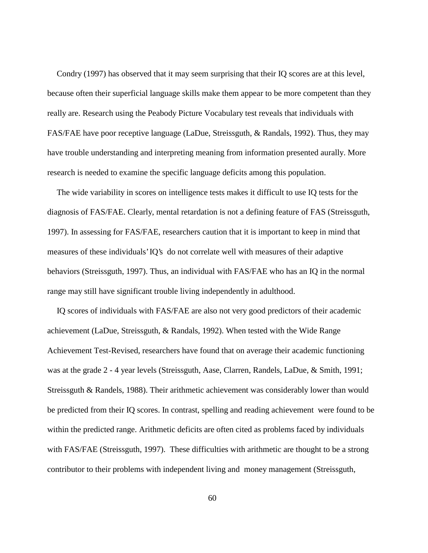Condry (1997) has observed that it may seem surprising that their IQ scores are at this level, because often their superficial language skills make them appear to be more competent than they really are. Research using the Peabody Picture Vocabulary test reveals that individuals with FAS/FAE have poor receptive language (LaDue, Streissguth, & Randals, 1992). Thus, they may have trouble understanding and interpreting meaning from information presented aurally. More research is needed to examine the specific language deficits among this population.

The wide variability in scores on intelligence tests makes it difficult to use IQ tests for the diagnosis of FAS/FAE. Clearly, mental retardation is not a defining feature of FAS (Streissguth, 1997). In assessing for FAS/FAE, researchers caution that it is important to keep in mind that measures of these individuals' IQ's do not correlate well with measures of their adaptive behaviors (Streissguth, 1997). Thus, an individual with FAS/FAE who has an IQ in the normal range may still have significant trouble living independently in adulthood.

IQ scores of individuals with FAS/FAE are also not very good predictors of their academic achievement (LaDue, Streissguth, & Randals, 1992). When tested with the Wide Range Achievement Test-Revised, researchers have found that on average their academic functioning was at the grade 2 - 4 year levels (Streissguth, Aase, Clarren, Randels, LaDue, & Smith, 1991; Streissguth & Randels, 1988). Their arithmetic achievement was considerably lower than would be predicted from their IQ scores. In contrast, spelling and reading achievement were found to be within the predicted range. Arithmetic deficits are often cited as problems faced by individuals with FAS/FAE (Streissguth, 1997). These difficulties with arithmetic are thought to be a strong contributor to their problems with independent living and money management (Streissguth,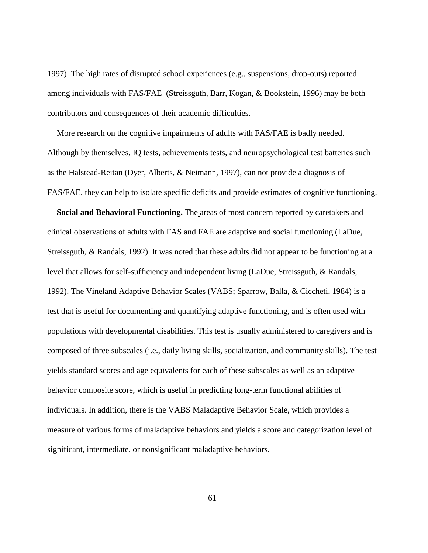1997). The high rates of disrupted school experiences (e.g., suspensions, drop-outs) reported among individuals with FAS/FAE (Streissguth, Barr, Kogan, & Bookstein, 1996) may be both contributors and consequences of their academic difficulties.

More research on the cognitive impairments of adults with FAS/FAE is badly needed. Although by themselves, IQ tests, achievements tests, and neuropsychological test batteries such as the Halstead-Reitan (Dyer, Alberts, & Neimann, 1997), can not provide a diagnosis of FAS/FAE, they can help to isolate specific deficits and provide estimates of cognitive functioning.

**Social and Behavioral Functioning.** The areas of most concern reported by caretakers and clinical observations of adults with FAS and FAE are adaptive and social functioning (LaDue, Streissguth, & Randals, 1992). It was noted that these adults did not appear to be functioning at a level that allows for self-sufficiency and independent living (LaDue, Streissguth, & Randals, 1992). The Vineland Adaptive Behavior Scales (VABS; Sparrow, Balla, & Ciccheti, 1984) is a test that is useful for documenting and quantifying adaptive functioning, and is often used with populations with developmental disabilities. This test is usually administered to caregivers and is composed of three subscales (i.e., daily living skills, socialization, and community skills). The test yields standard scores and age equivalents for each of these subscales as well as an adaptive behavior composite score, which is useful in predicting long-term functional abilities of individuals. In addition, there is the VABS Maladaptive Behavior Scale, which provides a measure of various forms of maladaptive behaviors and yields a score and categorization level of significant, intermediate, or nonsignificant maladaptive behaviors.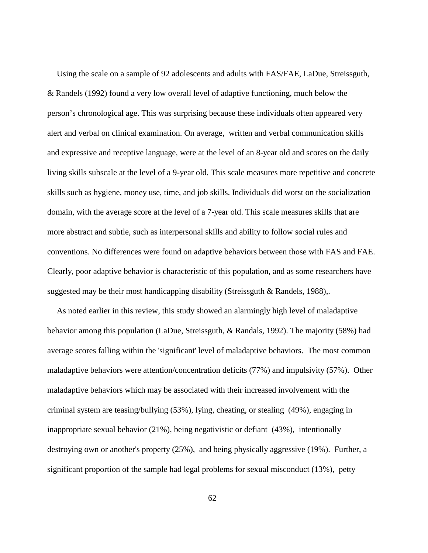Using the scale on a sample of 92 adolescents and adults with FAS/FAE, LaDue, Streissguth, & Randels (1992) found a very low overall level of adaptive functioning, much below the person's chronological age. This was surprising because these individuals often appeared very alert and verbal on clinical examination. On average, written and verbal communication skills and expressive and receptive language, were at the level of an 8-year old and scores on the daily living skills subscale at the level of a 9-year old. This scale measures more repetitive and concrete skills such as hygiene, money use, time, and job skills. Individuals did worst on the socialization domain, with the average score at the level of a 7-year old. This scale measures skills that are more abstract and subtle, such as interpersonal skills and ability to follow social rules and conventions. No differences were found on adaptive behaviors between those with FAS and FAE. Clearly, poor adaptive behavior is characteristic of this population, and as some researchers have suggested may be their most handicapping disability (Streissguth & Randels, 1988),.

As noted earlier in this review, this study showed an alarmingly high level of maladaptive behavior among this population (LaDue, Streissguth, & Randals, 1992). The majority (58%) had average scores falling within the 'significant' level of maladaptive behaviors. The most common maladaptive behaviors were attention/concentration deficits (77%) and impulsivity (57%). Other maladaptive behaviors which may be associated with their increased involvement with the criminal system are teasing/bullying (53%), lying, cheating, or stealing (49%), engaging in inappropriate sexual behavior (21%), being negativistic or defiant (43%), intentionally destroying own or another's property (25%), and being physically aggressive (19%). Further, a significant proportion of the sample had legal problems for sexual misconduct (13%), petty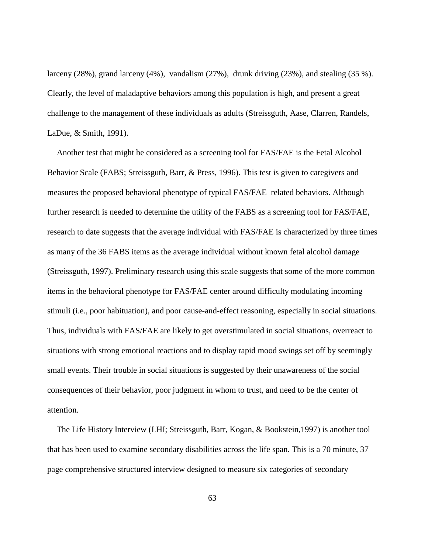larceny  $(28%)$ , grand larceny  $(4%)$ , vandalism  $(27%)$ , drunk driving  $(23%)$ , and stealing  $(35%)$ . Clearly, the level of maladaptive behaviors among this population is high, and present a great challenge to the management of these individuals as adults (Streissguth, Aase, Clarren, Randels, LaDue, & Smith, 1991).

Another test that might be considered as a screening tool for FAS/FAE is the Fetal Alcohol Behavior Scale (FABS; Streissguth, Barr, & Press, 1996). This test is given to caregivers and measures the proposed behavioral phenotype of typical FAS/FAE related behaviors. Although further research is needed to determine the utility of the FABS as a screening tool for FAS/FAE, research to date suggests that the average individual with FAS/FAE is characterized by three times as many of the 36 FABS items as the average individual without known fetal alcohol damage (Streissguth, 1997). Preliminary research using this scale suggests that some of the more common items in the behavioral phenotype for FAS/FAE center around difficulty modulating incoming stimuli (i.e., poor habituation), and poor cause-and-effect reasoning, especially in social situations. Thus, individuals with FAS/FAE are likely to get overstimulated in social situations, overreact to situations with strong emotional reactions and to display rapid mood swings set off by seemingly small events. Their trouble in social situations is suggested by their unawareness of the social consequences of their behavior, poor judgment in whom to trust, and need to be the center of attention.

The Life History Interview (LHI; Streissguth, Barr, Kogan, & Bookstein,1997) is another tool that has been used to examine secondary disabilities across the life span. This is a 70 minute, 37 page comprehensive structured interview designed to measure six categories of secondary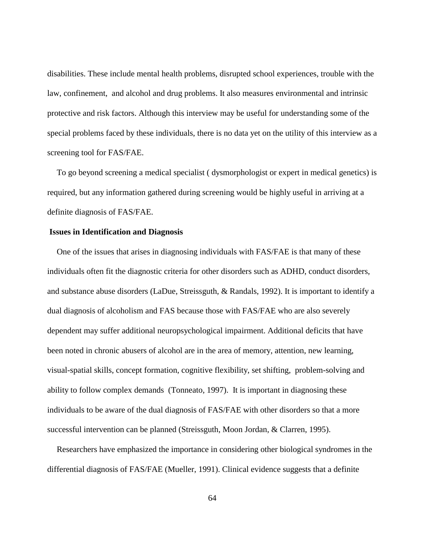disabilities. These include mental health problems, disrupted school experiences, trouble with the law, confinement, and alcohol and drug problems. It also measures environmental and intrinsic protective and risk factors. Although this interview may be useful for understanding some of the special problems faced by these individuals, there is no data yet on the utility of this interview as a screening tool for FAS/FAE.

To go beyond screening a medical specialist ( dysmorphologist or expert in medical genetics) is required, but any information gathered during screening would be highly useful in arriving at a definite diagnosis of FAS/FAE.

## **Issues in Identification and Diagnosis**

One of the issues that arises in diagnosing individuals with FAS/FAE is that many of these individuals often fit the diagnostic criteria for other disorders such as ADHD, conduct disorders, and substance abuse disorders (LaDue, Streissguth, & Randals, 1992). It is important to identify a dual diagnosis of alcoholism and FAS because those with FAS/FAE who are also severely dependent may suffer additional neuropsychological impairment. Additional deficits that have been noted in chronic abusers of alcohol are in the area of memory, attention, new learning, visual-spatial skills, concept formation, cognitive flexibility, set shifting, problem-solving and ability to follow complex demands (Tonneato, 1997). It is important in diagnosing these individuals to be aware of the dual diagnosis of FAS/FAE with other disorders so that a more successful intervention can be planned (Streissguth, Moon Jordan, & Clarren, 1995).

Researchers have emphasized the importance in considering other biological syndromes in the differential diagnosis of FAS/FAE (Mueller, 1991). Clinical evidence suggests that a definite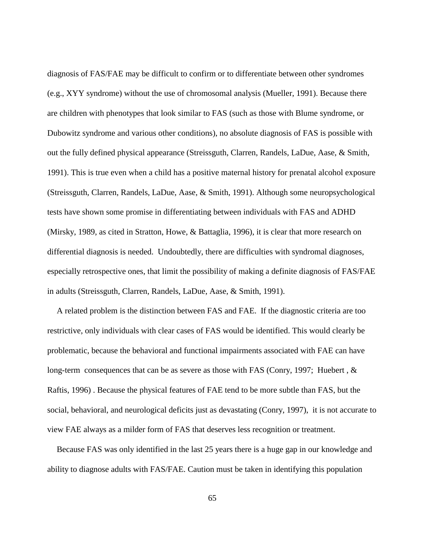diagnosis of FAS/FAE may be difficult to confirm or to differentiate between other syndromes (e.g., XYY syndrome) without the use of chromosomal analysis (Mueller, 1991). Because there are children with phenotypes that look similar to FAS (such as those with Blume syndrome, or Dubowitz syndrome and various other conditions), no absolute diagnosis of FAS is possible with out the fully defined physical appearance (Streissguth, Clarren, Randels, LaDue, Aase, & Smith, 1991). This is true even when a child has a positive maternal history for prenatal alcohol exposure (Streissguth, Clarren, Randels, LaDue, Aase, & Smith, 1991). Although some neuropsychological tests have shown some promise in differentiating between individuals with FAS and ADHD (Mirsky, 1989, as cited in Stratton, Howe, & Battaglia, 1996), it is clear that more research on differential diagnosis is needed. Undoubtedly, there are difficulties with syndromal diagnoses, especially retrospective ones, that limit the possibility of making a definite diagnosis of FAS/FAE in adults (Streissguth, Clarren, Randels, LaDue, Aase, & Smith, 1991).

A related problem is the distinction between FAS and FAE. If the diagnostic criteria are too restrictive, only individuals with clear cases of FAS would be identified. This would clearly be problematic, because the behavioral and functional impairments associated with FAE can have long-term consequences that can be as severe as those with FAS (Conry, 1997; Huebert, & Raftis, 1996) . Because the physical features of FAE tend to be more subtle than FAS, but the social, behavioral, and neurological deficits just as devastating (Conry, 1997), it is not accurate to view FAE always as a milder form of FAS that deserves less recognition or treatment.

Because FAS was only identified in the last 25 years there is a huge gap in our knowledge and ability to diagnose adults with FAS/FAE. Caution must be taken in identifying this population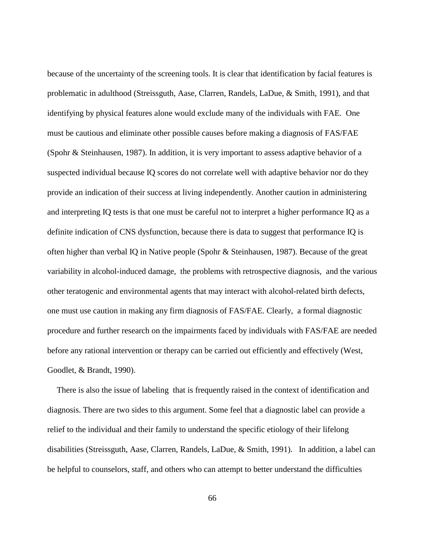because of the uncertainty of the screening tools. It is clear that identification by facial features is problematic in adulthood (Streissguth, Aase, Clarren, Randels, LaDue, & Smith, 1991), and that identifying by physical features alone would exclude many of the individuals with FAE. One must be cautious and eliminate other possible causes before making a diagnosis of FAS/FAE (Spohr & Steinhausen, 1987). In addition, it is very important to assess adaptive behavior of a suspected individual because IQ scores do not correlate well with adaptive behavior nor do they provide an indication of their success at living independently. Another caution in administering and interpreting IQ tests is that one must be careful not to interpret a higher performance IQ as a definite indication of CNS dysfunction, because there is data to suggest that performance IQ is often higher than verbal IQ in Native people (Spohr & Steinhausen, 1987). Because of the great variability in alcohol-induced damage, the problems with retrospective diagnosis, and the various other teratogenic and environmental agents that may interact with alcohol-related birth defects, one must use caution in making any firm diagnosis of FAS/FAE. Clearly, a formal diagnostic procedure and further research on the impairments faced by individuals with FAS/FAE are needed before any rational intervention or therapy can be carried out efficiently and effectively (West, Goodlet, & Brandt, 1990).

There is also the issue of labeling that is frequently raised in the context of identification and diagnosis. There are two sides to this argument. Some feel that a diagnostic label can provide a relief to the individual and their family to understand the specific etiology of their lifelong disabilities (Streissguth, Aase, Clarren, Randels, LaDue, & Smith, 1991). In addition, a label can be helpful to counselors, staff, and others who can attempt to better understand the difficulties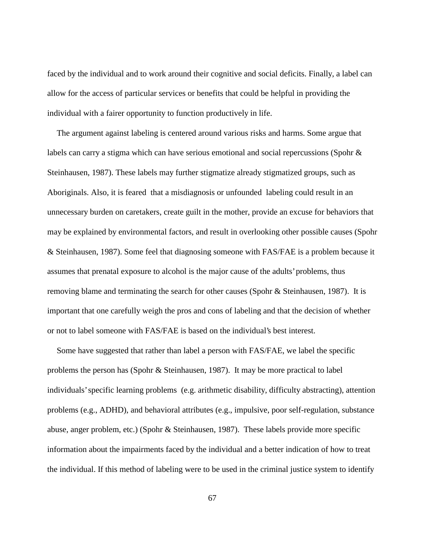faced by the individual and to work around their cognitive and social deficits. Finally, a label can allow for the access of particular services or benefits that could be helpful in providing the individual with a fairer opportunity to function productively in life.

The argument against labeling is centered around various risks and harms. Some argue that labels can carry a stigma which can have serious emotional and social repercussions (Spohr  $\&$ Steinhausen, 1987). These labels may further stigmatize already stigmatized groups, such as Aboriginals. Also, it is feared that a misdiagnosis or unfounded labeling could result in an unnecessary burden on caretakers, create guilt in the mother, provide an excuse for behaviors that may be explained by environmental factors, and result in overlooking other possible causes (Spohr & Steinhausen, 1987). Some feel that diagnosing someone with FAS/FAE is a problem because it assumes that prenatal exposure to alcohol is the major cause of the adults' problems, thus removing blame and terminating the search for other causes (Spohr & Steinhausen, 1987). It is important that one carefully weigh the pros and cons of labeling and that the decision of whether or not to label someone with FAS/FAE is based on the individual's best interest.

Some have suggested that rather than label a person with FAS/FAE, we label the specific problems the person has (Spohr & Steinhausen, 1987). It may be more practical to label individuals' specific learning problems (e.g. arithmetic disability, difficulty abstracting), attention problems (e.g., ADHD), and behavioral attributes (e.g., impulsive, poor self-regulation, substance abuse, anger problem, etc.) (Spohr & Steinhausen, 1987). These labels provide more specific information about the impairments faced by the individual and a better indication of how to treat the individual. If this method of labeling were to be used in the criminal justice system to identify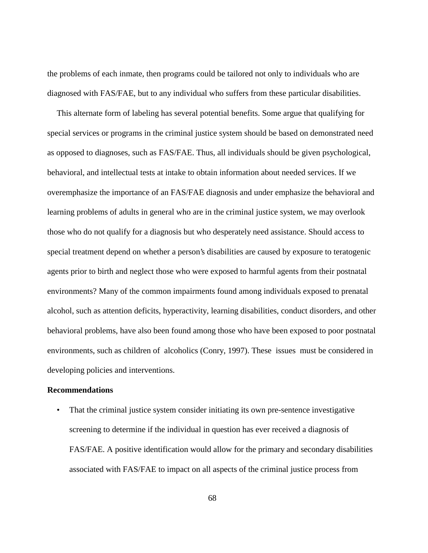the problems of each inmate, then programs could be tailored not only to individuals who are diagnosed with FAS/FAE, but to any individual who suffers from these particular disabilities.

This alternate form of labeling has several potential benefits. Some argue that qualifying for special services or programs in the criminal justice system should be based on demonstrated need as opposed to diagnoses, such as FAS/FAE. Thus, all individuals should be given psychological, behavioral, and intellectual tests at intake to obtain information about needed services. If we overemphasize the importance of an FAS/FAE diagnosis and under emphasize the behavioral and learning problems of adults in general who are in the criminal justice system, we may overlook those who do not qualify for a diagnosis but who desperately need assistance. Should access to special treatment depend on whether a person's disabilities are caused by exposure to teratogenic agents prior to birth and neglect those who were exposed to harmful agents from their postnatal environments? Many of the common impairments found among individuals exposed to prenatal alcohol, such as attention deficits, hyperactivity, learning disabilities, conduct disorders, and other behavioral problems, have also been found among those who have been exposed to poor postnatal environments, such as children of alcoholics (Conry, 1997). These issues must be considered in developing policies and interventions.

## **Recommendations**

• That the criminal justice system consider initiating its own pre-sentence investigative screening to determine if the individual in question has ever received a diagnosis of FAS/FAE. A positive identification would allow for the primary and secondary disabilities associated with FAS/FAE to impact on all aspects of the criminal justice process from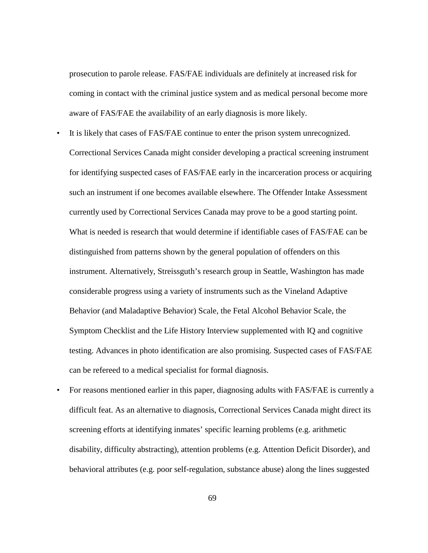prosecution to parole release. FAS/FAE individuals are definitely at increased risk for coming in contact with the criminal justice system and as medical personal become more aware of FAS/FAE the availability of an early diagnosis is more likely.

- It is likely that cases of FAS/FAE continue to enter the prison system unrecognized. Correctional Services Canada might consider developing a practical screening instrument for identifying suspected cases of FAS/FAE early in the incarceration process or acquiring such an instrument if one becomes available elsewhere. The Offender Intake Assessment currently used by Correctional Services Canada may prove to be a good starting point. What is needed is research that would determine if identifiable cases of FAS/FAE can be distinguished from patterns shown by the general population of offenders on this instrument. Alternatively, Streissguth's research group in Seattle, Washington has made considerable progress using a variety of instruments such as the Vineland Adaptive Behavior (and Maladaptive Behavior) Scale, the Fetal Alcohol Behavior Scale, the Symptom Checklist and the Life History Interview supplemented with IQ and cognitive testing. Advances in photo identification are also promising. Suspected cases of FAS/FAE can be refereed to a medical specialist for formal diagnosis.
- For reasons mentioned earlier in this paper, diagnosing adults with FAS/FAE is currently a difficult feat. As an alternative to diagnosis, Correctional Services Canada might direct its screening efforts at identifying inmates' specific learning problems (e.g. arithmetic disability, difficulty abstracting), attention problems (e.g. Attention Deficit Disorder), and behavioral attributes (e.g. poor self-regulation, substance abuse) along the lines suggested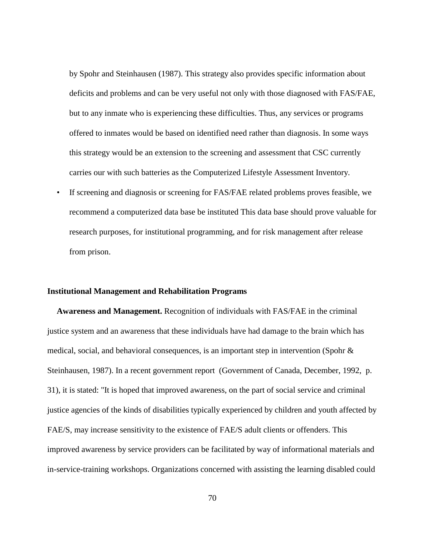by Spohr and Steinhausen (1987). This strategy also provides specific information about deficits and problems and can be very useful not only with those diagnosed with FAS/FAE, but to any inmate who is experiencing these difficulties. Thus, any services or programs offered to inmates would be based on identified need rather than diagnosis. In some ways this strategy would be an extension to the screening and assessment that CSC currently carries our with such batteries as the Computerized Lifestyle Assessment Inventory.

• If screening and diagnosis or screening for FAS/FAE related problems proves feasible, we recommend a computerized data base be instituted This data base should prove valuable for research purposes, for institutional programming, and for risk management after release from prison.

#### **Institutional Management and Rehabilitation Programs**

**Awareness and Management.** Recognition of individuals with FAS/FAE in the criminal justice system and an awareness that these individuals have had damage to the brain which has medical, social, and behavioral consequences, is an important step in intervention (Spohr & Steinhausen, 1987). In a recent government report (Government of Canada, December, 1992, p. 31), it is stated: "It is hoped that improved awareness, on the part of social service and criminal justice agencies of the kinds of disabilities typically experienced by children and youth affected by FAE/S, may increase sensitivity to the existence of FAE/S adult clients or offenders. This improved awareness by service providers can be facilitated by way of informational materials and in-service-training workshops. Organizations concerned with assisting the learning disabled could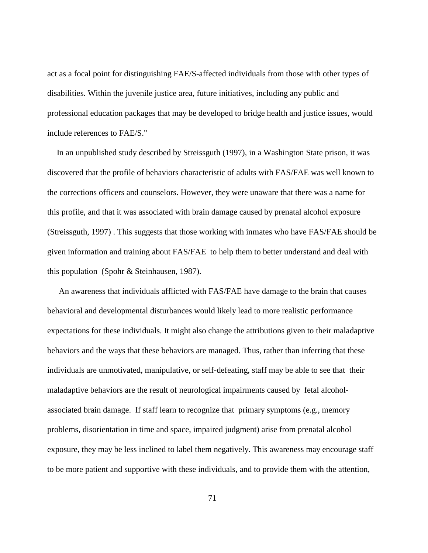act as a focal point for distinguishing FAE/S-affected individuals from those with other types of disabilities. Within the juvenile justice area, future initiatives, including any public and professional education packages that may be developed to bridge health and justice issues, would include references to FAE/S."

In an unpublished study described by Streissguth (1997), in a Washington State prison, it was discovered that the profile of behaviors characteristic of adults with FAS/FAE was well known to the corrections officers and counselors. However, they were unaware that there was a name for this profile, and that it was associated with brain damage caused by prenatal alcohol exposure (Streissguth, 1997) . This suggests that those working with inmates who have FAS/FAE should be given information and training about FAS/FAE to help them to better understand and deal with this population (Spohr & Steinhausen, 1987).

 An awareness that individuals afflicted with FAS/FAE have damage to the brain that causes behavioral and developmental disturbances would likely lead to more realistic performance expectations for these individuals. It might also change the attributions given to their maladaptive behaviors and the ways that these behaviors are managed. Thus, rather than inferring that these individuals are unmotivated, manipulative, or self-defeating, staff may be able to see that their maladaptive behaviors are the result of neurological impairments caused by fetal alcoholassociated brain damage. If staff learn to recognize that primary symptoms (e.g., memory problems, disorientation in time and space, impaired judgment) arise from prenatal alcohol exposure, they may be less inclined to label them negatively. This awareness may encourage staff to be more patient and supportive with these individuals, and to provide them with the attention,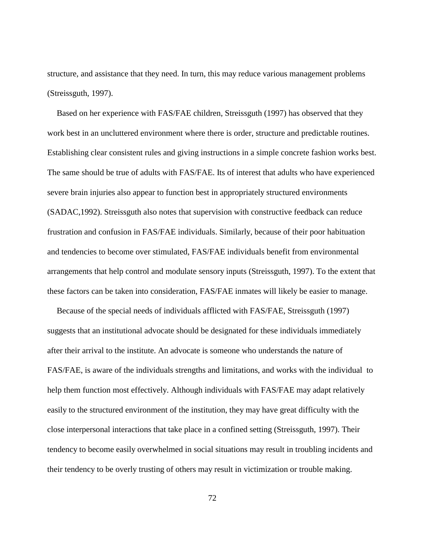structure, and assistance that they need. In turn, this may reduce various management problems (Streissguth, 1997).

Based on her experience with FAS/FAE children, Streissguth (1997) has observed that they work best in an uncluttered environment where there is order, structure and predictable routines. Establishing clear consistent rules and giving instructions in a simple concrete fashion works best. The same should be true of adults with FAS/FAE. Its of interest that adults who have experienced severe brain injuries also appear to function best in appropriately structured environments (SADAC,1992). Streissguth also notes that supervision with constructive feedback can reduce frustration and confusion in FAS/FAE individuals. Similarly, because of their poor habituation and tendencies to become over stimulated, FAS/FAE individuals benefit from environmental arrangements that help control and modulate sensory inputs (Streissguth, 1997). To the extent that these factors can be taken into consideration, FAS/FAE inmates will likely be easier to manage.

Because of the special needs of individuals afflicted with FAS/FAE, Streissguth (1997) suggests that an institutional advocate should be designated for these individuals immediately after their arrival to the institute. An advocate is someone who understands the nature of FAS/FAE, is aware of the individuals strengths and limitations, and works with the individual to help them function most effectively. Although individuals with FAS/FAE may adapt relatively easily to the structured environment of the institution, they may have great difficulty with the close interpersonal interactions that take place in a confined setting (Streissguth, 1997). Their tendency to become easily overwhelmed in social situations may result in troubling incidents and their tendency to be overly trusting of others may result in victimization or trouble making.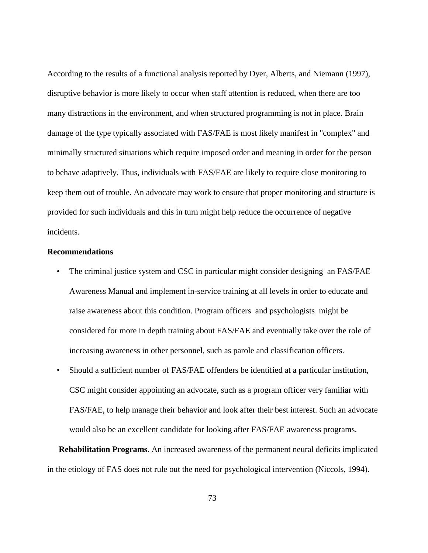According to the results of a functional analysis reported by Dyer, Alberts, and Niemann (1997), disruptive behavior is more likely to occur when staff attention is reduced, when there are too many distractions in the environment, and when structured programming is not in place. Brain damage of the type typically associated with FAS/FAE is most likely manifest in "complex" and minimally structured situations which require imposed order and meaning in order for the person to behave adaptively. Thus, individuals with FAS/FAE are likely to require close monitoring to keep them out of trouble. An advocate may work to ensure that proper monitoring and structure is provided for such individuals and this in turn might help reduce the occurrence of negative incidents.

# **Recommendations**

- The criminal justice system and CSC in particular might consider designing an FAS/FAE Awareness Manual and implement in-service training at all levels in order to educate and raise awareness about this condition. Program officers and psychologists might be considered for more in depth training about FAS/FAE and eventually take over the role of increasing awareness in other personnel, such as parole and classification officers.
- Should a sufficient number of FAS/FAE offenders be identified at a particular institution, CSC might consider appointing an advocate, such as a program officer very familiar with FAS/FAE, to help manage their behavior and look after their best interest. Such an advocate would also be an excellent candidate for looking after FAS/FAE awareness programs.

 **Rehabilitation Programs**. An increased awareness of the permanent neural deficits implicated in the etiology of FAS does not rule out the need for psychological intervention (Niccols, 1994).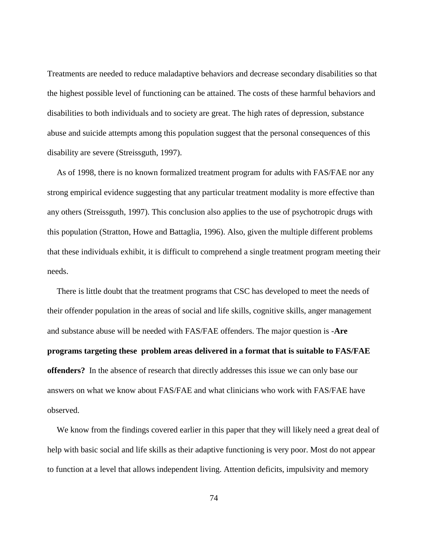Treatments are needed to reduce maladaptive behaviors and decrease secondary disabilities so that the highest possible level of functioning can be attained. The costs of these harmful behaviors and disabilities to both individuals and to society are great. The high rates of depression, substance abuse and suicide attempts among this population suggest that the personal consequences of this disability are severe (Streissguth, 1997).

As of 1998, there is no known formalized treatment program for adults with FAS/FAE nor any strong empirical evidence suggesting that any particular treatment modality is more effective than any others (Streissguth, 1997). This conclusion also applies to the use of psychotropic drugs with this population (Stratton, Howe and Battaglia, 1996). Also, given the multiple different problems that these individuals exhibit, it is difficult to comprehend a single treatment program meeting their needs.

There is little doubt that the treatment programs that CSC has developed to meet the needs of their offender population in the areas of social and life skills, cognitive skills, anger management and substance abuse will be needed with FAS/FAE offenders. The major question is -**Are programs targeting these problem areas delivered in a format that is suitable to FAS/FAE offenders?** In the absence of research that directly addresses this issue we can only base our answers on what we know about FAS/FAE and what clinicians who work with FAS/FAE have observed.

We know from the findings covered earlier in this paper that they will likely need a great deal of help with basic social and life skills as their adaptive functioning is very poor. Most do not appear to function at a level that allows independent living. Attention deficits, impulsivity and memory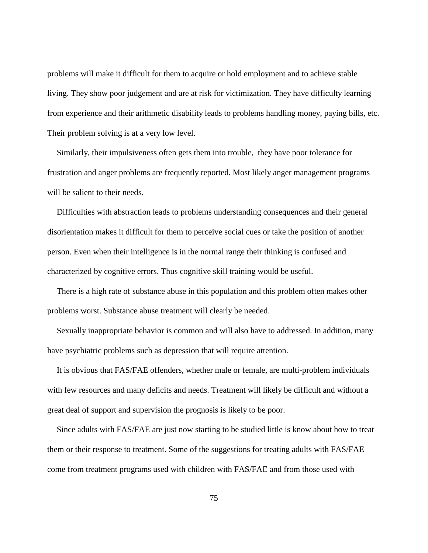problems will make it difficult for them to acquire or hold employment and to achieve stable living. They show poor judgement and are at risk for victimization. They have difficulty learning from experience and their arithmetic disability leads to problems handling money, paying bills, etc. Their problem solving is at a very low level.

Similarly, their impulsiveness often gets them into trouble, they have poor tolerance for frustration and anger problems are frequently reported. Most likely anger management programs will be salient to their needs.

Difficulties with abstraction leads to problems understanding consequences and their general disorientation makes it difficult for them to perceive social cues or take the position of another person. Even when their intelligence is in the normal range their thinking is confused and characterized by cognitive errors. Thus cognitive skill training would be useful.

There is a high rate of substance abuse in this population and this problem often makes other problems worst. Substance abuse treatment will clearly be needed.

Sexually inappropriate behavior is common and will also have to addressed. In addition, many have psychiatric problems such as depression that will require attention.

It is obvious that FAS/FAE offenders, whether male or female, are multi-problem individuals with few resources and many deficits and needs. Treatment will likely be difficult and without a great deal of support and supervision the prognosis is likely to be poor.

Since adults with FAS/FAE are just now starting to be studied little is know about how to treat them or their response to treatment. Some of the suggestions for treating adults with FAS/FAE come from treatment programs used with children with FAS/FAE and from those used with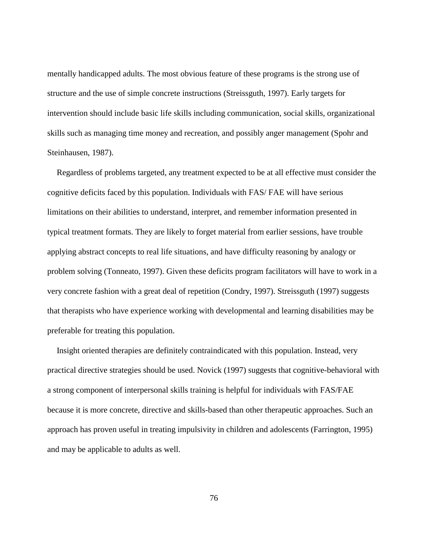mentally handicapped adults. The most obvious feature of these programs is the strong use of structure and the use of simple concrete instructions (Streissguth, 1997). Early targets for intervention should include basic life skills including communication, social skills, organizational skills such as managing time money and recreation, and possibly anger management (Spohr and Steinhausen, 1987).

Regardless of problems targeted, any treatment expected to be at all effective must consider the cognitive deficits faced by this population. Individuals with FAS/ FAE will have serious limitations on their abilities to understand, interpret, and remember information presented in typical treatment formats. They are likely to forget material from earlier sessions, have trouble applying abstract concepts to real life situations, and have difficulty reasoning by analogy or problem solving (Tonneato, 1997). Given these deficits program facilitators will have to work in a very concrete fashion with a great deal of repetition (Condry, 1997). Streissguth (1997) suggests that therapists who have experience working with developmental and learning disabilities may be preferable for treating this population.

Insight oriented therapies are definitely contraindicated with this population. Instead, very practical directive strategies should be used. Novick (1997) suggests that cognitive-behavioral with a strong component of interpersonal skills training is helpful for individuals with FAS/FAE because it is more concrete, directive and skills-based than other therapeutic approaches. Such an approach has proven useful in treating impulsivity in children and adolescents (Farrington, 1995) and may be applicable to adults as well.

76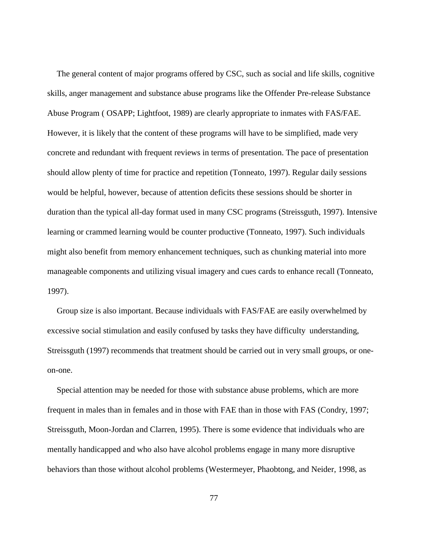The general content of major programs offered by CSC, such as social and life skills, cognitive skills, anger management and substance abuse programs like the Offender Pre-release Substance Abuse Program ( OSAPP; Lightfoot, 1989) are clearly appropriate to inmates with FAS/FAE. However, it is likely that the content of these programs will have to be simplified, made very concrete and redundant with frequent reviews in terms of presentation. The pace of presentation should allow plenty of time for practice and repetition (Tonneato, 1997). Regular daily sessions would be helpful, however, because of attention deficits these sessions should be shorter in duration than the typical all-day format used in many CSC programs (Streissguth, 1997). Intensive learning or crammed learning would be counter productive (Tonneato, 1997). Such individuals might also benefit from memory enhancement techniques, such as chunking material into more manageable components and utilizing visual imagery and cues cards to enhance recall (Tonneato, 1997).

Group size is also important. Because individuals with FAS/FAE are easily overwhelmed by excessive social stimulation and easily confused by tasks they have difficulty understanding, Streissguth (1997) recommends that treatment should be carried out in very small groups, or oneon-one.

Special attention may be needed for those with substance abuse problems, which are more frequent in males than in females and in those with FAE than in those with FAS (Condry, 1997; Streissguth, Moon-Jordan and Clarren, 1995). There is some evidence that individuals who are mentally handicapped and who also have alcohol problems engage in many more disruptive behaviors than those without alcohol problems (Westermeyer, Phaobtong, and Neider, 1998, as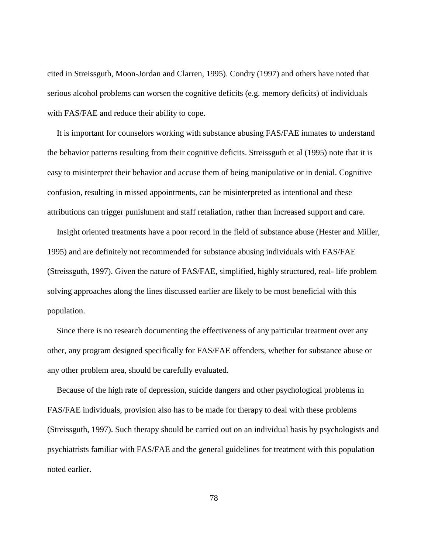cited in Streissguth, Moon-Jordan and Clarren, 1995). Condry (1997) and others have noted that serious alcohol problems can worsen the cognitive deficits (e.g. memory deficits) of individuals with FAS/FAE and reduce their ability to cope.

It is important for counselors working with substance abusing FAS/FAE inmates to understand the behavior patterns resulting from their cognitive deficits. Streissguth et al (1995) note that it is easy to misinterpret their behavior and accuse them of being manipulative or in denial. Cognitive confusion, resulting in missed appointments, can be misinterpreted as intentional and these attributions can trigger punishment and staff retaliation, rather than increased support and care.

Insight oriented treatments have a poor record in the field of substance abuse (Hester and Miller, 1995) and are definitely not recommended for substance abusing individuals with FAS/FAE (Streissguth, 1997). Given the nature of FAS/FAE, simplified, highly structured, real- life problem solving approaches along the lines discussed earlier are likely to be most beneficial with this population.

Since there is no research documenting the effectiveness of any particular treatment over any other, any program designed specifically for FAS/FAE offenders, whether for substance abuse or any other problem area, should be carefully evaluated.

Because of the high rate of depression, suicide dangers and other psychological problems in FAS/FAE individuals, provision also has to be made for therapy to deal with these problems (Streissguth, 1997). Such therapy should be carried out on an individual basis by psychologists and psychiatrists familiar with FAS/FAE and the general guidelines for treatment with this population noted earlier.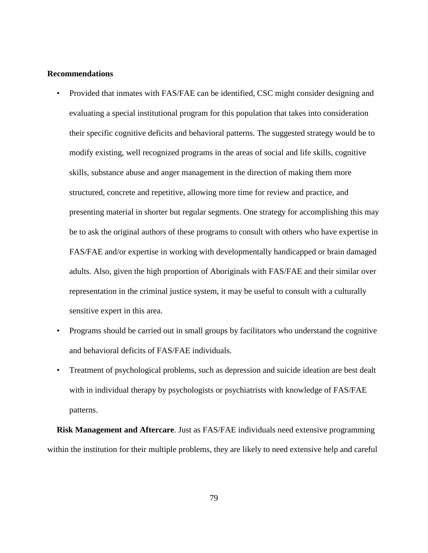#### **Recommendations**

- Provided that inmates with FAS/FAE can be identified, CSC might consider designing and evaluating a special institutional program for this population that takes into consideration their specific cognitive deficits and behavioral patterns. The suggested strategy would be to modify existing, well recognized programs in the areas of social and life skills, cognitive skills, substance abuse and anger management in the direction of making them more structured, concrete and repetitive, allowing more time for review and practice, and presenting material in shorter but regular segments. One strategy for accomplishing this may be to ask the original authors of these programs to consult with others who have expertise in FAS/FAE and/or expertise in working with developmentally handicapped or brain damaged adults. Also, given the high proportion of Aboriginals with FAS/FAE and their similar over representation in the criminal justice system, it may be useful to consult with a culturally sensitive expert in this area.
- Programs should be carried out in small groups by facilitators who understand the cognitive and behavioral deficits of FAS/FAE individuals.
- Treatment of psychological problems, such as depression and suicide ideation are best dealt with in individual therapy by psychologists or psychiatrists with knowledge of FAS/FAE patterns.

**Risk Management and Aftercare**. Just as FAS/FAE individuals need extensive programming within the institution for their multiple problems, they are likely to need extensive help and careful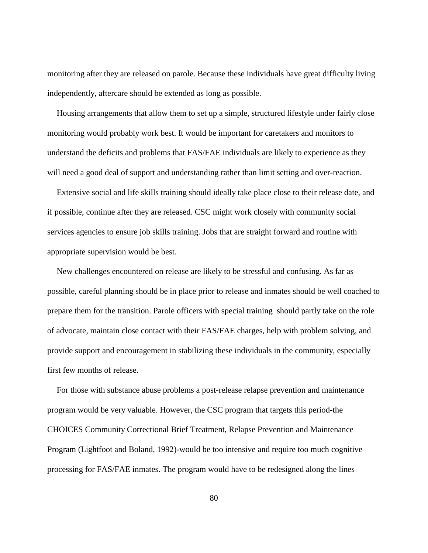monitoring after they are released on parole. Because these individuals have great difficulty living independently, aftercare should be extended as long as possible.

Housing arrangements that allow them to set up a simple, structured lifestyle under fairly close monitoring would probably work best. It would be important for caretakers and monitors to understand the deficits and problems that FAS/FAE individuals are likely to experience as they will need a good deal of support and understanding rather than limit setting and over-reaction.

Extensive social and life skills training should ideally take place close to their release date, and if possible, continue after they are released. CSC might work closely with community social services agencies to ensure job skills training. Jobs that are straight forward and routine with appropriate supervision would be best.

New challenges encountered on release are likely to be stressful and confusing. As far as possible, careful planning should be in place prior to release and inmates should be well coached to prepare them for the transition. Parole officers with special training should partly take on the role of advocate, maintain close contact with their FAS/FAE charges, help with problem solving, and provide support and encouragement in stabilizing these individuals in the community, especially first few months of release.

For those with substance abuse problems a post-release relapse prevention and maintenance program would be very valuable. However, the CSC program that targets this period-the CHOICES Community Correctional Brief Treatment, Relapse Prevention and Maintenance Program (Lightfoot and Boland, 1992)-would be too intensive and require too much cognitive processing for FAS/FAE inmates. The program would have to be redesigned along the lines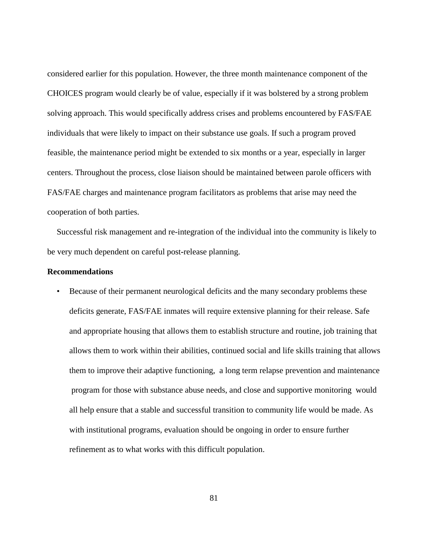considered earlier for this population. However, the three month maintenance component of the CHOICES program would clearly be of value, especially if it was bolstered by a strong problem solving approach. This would specifically address crises and problems encountered by FAS/FAE individuals that were likely to impact on their substance use goals. If such a program proved feasible, the maintenance period might be extended to six months or a year, especially in larger centers. Throughout the process, close liaison should be maintained between parole officers with FAS/FAE charges and maintenance program facilitators as problems that arise may need the cooperation of both parties.

Successful risk management and re-integration of the individual into the community is likely to be very much dependent on careful post**-**release planning.

## **Recommendations**

• Because of their permanent neurological deficits and the many secondary problems these deficits generate, FAS/FAE inmates will require extensive planning for their release. Safe and appropriate housing that allows them to establish structure and routine, job training that allows them to work within their abilities, continued social and life skills training that allows them to improve their adaptive functioning, a long term relapse prevention and maintenance program for those with substance abuse needs, and close and supportive monitoring would all help ensure that a stable and successful transition to community life would be made. As with institutional programs, evaluation should be ongoing in order to ensure further refinement as to what works with this difficult population.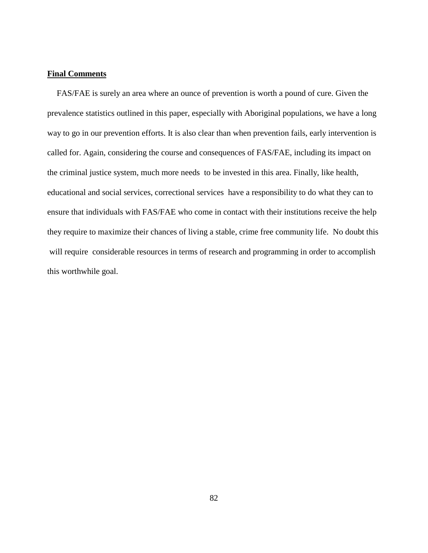## **Final Comments**

FAS/FAE is surely an area where an ounce of prevention is worth a pound of cure. Given the prevalence statistics outlined in this paper, especially with Aboriginal populations, we have a long way to go in our prevention efforts. It is also clear than when prevention fails, early intervention is called for. Again, considering the course and consequences of FAS/FAE, including its impact on the criminal justice system, much more needs to be invested in this area. Finally, like health, educational and social services, correctional services have a responsibility to do what they can to ensure that individuals with FAS/FAE who come in contact with their institutions receive the help they require to maximize their chances of living a stable, crime free community life. No doubt this will require considerable resources in terms of research and programming in order to accomplish this worthwhile goal.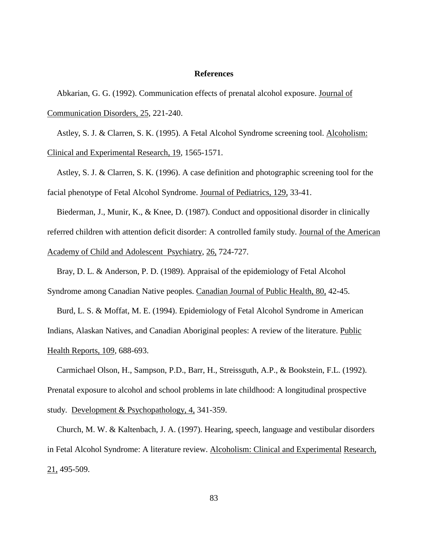#### **References**

Abkarian, G. G. (1992). Communication effects of prenatal alcohol exposure. Journal of Communication Disorders, 25, 221-240.

Astley, S. J. & Clarren, S. K. (1995). A Fetal Alcohol Syndrome screening tool. Alcoholism: Clinical and Experimental Research, 19, 1565-1571.

Astley, S. J. & Clarren, S. K. (1996). A case definition and photographic screening tool for the facial phenotype of Fetal Alcohol Syndrome. Journal of Pediatrics, 129, 33-41.

Biederman, J., Munir, K., & Knee, D. (1987). Conduct and oppositional disorder in clinically referred children with attention deficit disorder: A controlled family study. Journal of the American Academy of Child and Adolescent Psychiatry, 26, 724-727.

Bray, D. L. & Anderson, P. D. (1989). Appraisal of the epidemiology of Fetal Alcohol Syndrome among Canadian Native peoples. Canadian Journal of Public Health, 80, 42-45.

Burd, L. S. & Moffat, M. E. (1994). Epidemiology of Fetal Alcohol Syndrome in American Indians, Alaskan Natives, and Canadian Aboriginal peoples: A review of the literature. Public Health Reports, 109, 688-693.

Carmichael Olson, H., Sampson, P.D., Barr, H., Streissguth, A.P., & Bookstein, F.L. (1992). Prenatal exposure to alcohol and school problems in late childhood: A longitudinal prospective study. Development & Psychopathology, 4, 341-359.

Church, M. W. & Kaltenbach, J. A. (1997). Hearing, speech, language and vestibular disorders in Fetal Alcohol Syndrome: A literature review. Alcoholism: Clinical and Experimental Research, 21, 495-509.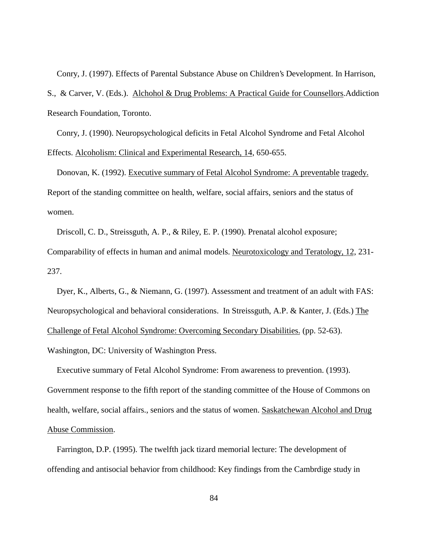Conry, J. (1997). Effects of Parental Substance Abuse on Children's Development. In Harrison,

S., & Carver, V. (Eds.). Alchohol & Drug Problems: A Practical Guide for Counsellors.Addiction Research Foundation, Toronto.

Conry, J. (1990). Neuropsychological deficits in Fetal Alcohol Syndrome and Fetal Alcohol Effects. Alcoholism: Clinical and Experimental Research, 14, 650-655.

Donovan, K. (1992). Executive summary of Fetal Alcohol Syndrome: A preventable tragedy. Report of the standing committee on health, welfare, social affairs, seniors and the status of women.

Driscoll, C. D., Streissguth, A. P., & Riley, E. P. (1990). Prenatal alcohol exposure; Comparability of effects in human and animal models. Neurotoxicology and Teratology, 12, 231- 237.

Dyer, K., Alberts, G., & Niemann, G. (1997). Assessment and treatment of an adult with FAS: Neuropsychological and behavioral considerations. In Streissguth, A.P. & Kanter, J. (Eds.) The Challenge of Fetal Alcohol Syndrome: Overcoming Secondary Disabilities. (pp. 52-63).

Washington, DC: University of Washington Press.

Executive summary of Fetal Alcohol Syndrome: From awareness to prevention. (1993). Government response to the fifth report of the standing committee of the House of Commons on health, welfare, social affairs., seniors and the status of women. Saskatchewan Alcohol and Drug Abuse Commission.

Farrington, D.P. (1995). The twelfth jack tizard memorial lecture: The development of offending and antisocial behavior from childhood: Key findings from the Cambrdige study in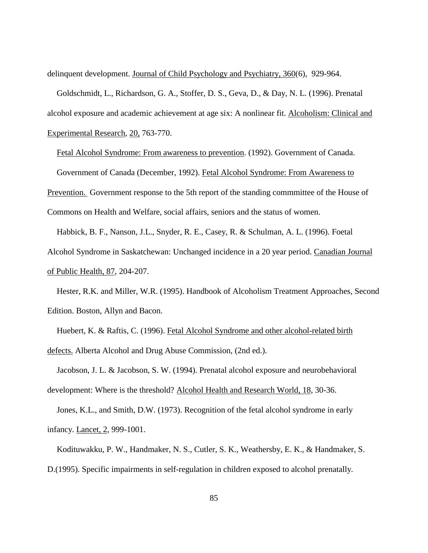delinquent development. Journal of Child Psychology and Psychiatry, 360(6), 929-964.

Goldschmidt, L., Richardson, G. A., Stoffer, D. S., Geva, D., & Day, N. L. (1996). Prenatal alcohol exposure and academic achievement at age six: A nonlinear fit. Alcoholism: Clinical and Experimental Research, 20, 763-770.

Fetal Alcohol Syndrome: From awareness to prevention. (1992). Government of Canada. Government of Canada (December, 1992). Fetal Alcohol Syndrome: From Awareness to Prevention. Government response to the 5th report of the standing commmittee of the House of Commons on Health and Welfare, social affairs, seniors and the status of women.

Habbick, B. F., Nanson, J.L., Snyder, R. E., Casey, R. & Schulman, A. L. (1996). Foetal Alcohol Syndrome in Saskatchewan: Unchanged incidence in a 20 year period. Canadian Journal of Public Health, 87, 204-207.

Hester, R.K. and Miller, W.R. (1995). Handbook of Alcoholism Treatment Approaches, Second Edition. Boston, Allyn and Bacon.

Huebert, K. & Raftis, C. (1996). Fetal Alcohol Syndrome and other alcohol-related birth defects. Alberta Alcohol and Drug Abuse Commission, (2nd ed.).

Jacobson, J. L. & Jacobson, S. W. (1994). Prenatal alcohol exposure and neurobehavioral development: Where is the threshold? Alcohol Health and Research World, 18, 30-36.

Jones, K.L., and Smith, D.W. (1973). Recognition of the fetal alcohol syndrome in early infancy. Lancet, 2, 999-1001.

Kodituwakku, P. W., Handmaker, N. S., Cutler, S. K., Weathersby, E. K., & Handmaker, S. D.(1995). Specific impairments in self-regulation in children exposed to alcohol prenatally.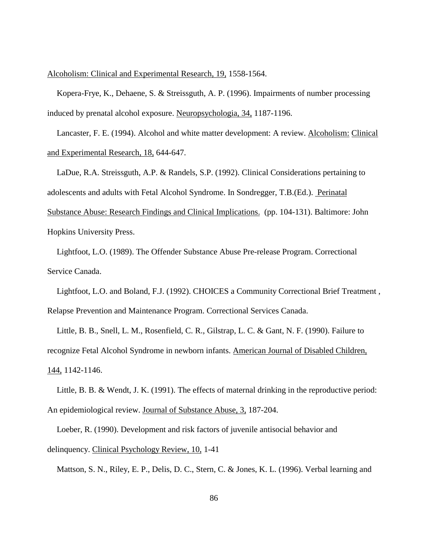Alcoholism: Clinical and Experimental Research, 19, 1558-1564.

Kopera-Frye, K., Dehaene, S. & Streissguth, A. P. (1996). Impairments of number processing induced by prenatal alcohol exposure. Neuropsychologia, 34, 1187-1196.

Lancaster, F. E. (1994). Alcohol and white matter development: A review. Alcoholism: Clinical and Experimental Research, 18, 644-647.

LaDue, R.A. Streissguth, A.P. & Randels, S.P. (1992). Clinical Considerations pertaining to adolescents and adults with Fetal Alcohol Syndrome. In Sondregger, T.B.(Ed.). Perinatal Substance Abuse: Research Findings and Clinical Implications. (pp. 104-131). Baltimore: John Hopkins University Press.

Lightfoot, L.O. (1989). The Offender Substance Abuse Pre-release Program. Correctional Service Canada.

Lightfoot, L.O. and Boland, F.J. (1992). CHOICES a Community Correctional Brief Treatment , Relapse Prevention and Maintenance Program. Correctional Services Canada.

Little, B. B., Snell, L. M., Rosenfield, C. R., Gilstrap, L. C. & Gant, N. F. (1990). Failure to recognize Fetal Alcohol Syndrome in newborn infants. American Journal of Disabled Children, 144, 1142-1146.

Little, B. B. & Wendt, J. K. (1991). The effects of maternal drinking in the reproductive period: An epidemiological review. Journal of Substance Abuse, 3, 187-204.

Loeber, R. (1990). Development and risk factors of juvenile antisocial behavior and delinquency. Clinical Psychology Review, 10, 1-41

Mattson, S. N., Riley, E. P., Delis, D. C., Stern, C. & Jones, K. L. (1996). Verbal learning and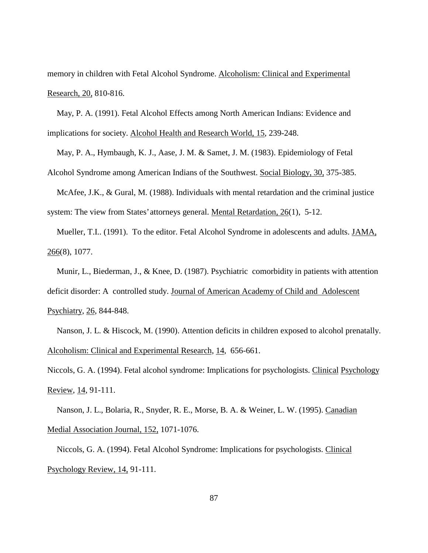memory in children with Fetal Alcohol Syndrome. Alcoholism: Clinical and Experimental Research, 20, 810-816.

May, P. A. (1991). Fetal Alcohol Effects among North American Indians: Evidence and implications for society. Alcohol Health and Research World, 15, 239-248.

May, P. A., Hymbaugh, K. J., Aase, J. M. & Samet, J. M. (1983). Epidemiology of Fetal Alcohol Syndrome among American Indians of the Southwest. Social Biology, 30, 375-385.

McAfee, J.K., & Gural, M. (1988). Individuals with mental retardation and the criminal justice system: The view from States' attorneys general. Mental Retardation, 26(1), 5-12.

Mueller, T.I.. (1991). To the editor. Fetal Alcohol Syndrome in adolescents and adults. JAMA, 266(8), 1077.

Munir, L., Biederman, J., & Knee, D. (1987). Psychiatric comorbidity in patients with attention deficit disorder: A controlled study. Journal of American Academy of Child and Adolescent Psychiatry, 26, 844-848.

Nanson, J. L. & Hiscock, M. (1990). Attention deficits in children exposed to alcohol prenatally. Alcoholism: Clinical and Experimental Research, 14, 656-661.

Niccols, G. A. (1994). Fetal alcohol syndrome: Implications for psychologists. Clinical Psychology Review, 14, 91-111.

Nanson, J. L., Bolaria, R., Snyder, R. E., Morse, B. A. & Weiner, L. W. (1995). Canadian Medial Association Journal, 152, 1071-1076.

Niccols, G. A. (1994). Fetal Alcohol Syndrome: Implications for psychologists. Clinical Psychology Review, 14, 91-111.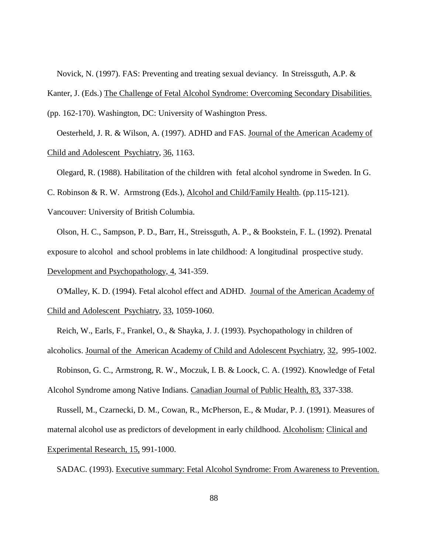Novick, N. (1997). FAS: Preventing and treating sexual deviancy. In Streissguth, A.P. &

Kanter, J. (Eds.) The Challenge of Fetal Alcohol Syndrome: Overcoming Secondary Disabilities.

(pp. 162-170). Washington, DC: University of Washington Press.

Oesterheld, J. R. & Wilson, A. (1997). ADHD and FAS. Journal of the American Academy of Child and Adolescent Psychiatry, 36, 1163.

Olegard, R. (1988). Habilitation of the children with fetal alcohol syndrome in Sweden. In G.

C. Robinson & R. W. Armstrong (Eds.), Alcohol and Child/Family Health. (pp.115-121).

Vancouver: University of British Columbia.

Olson, H. C., Sampson, P. D., Barr, H., Streissguth, A. P., & Bookstein, F. L. (1992). Prenatal exposure to alcohol and school problems in late childhood: A longitudinal prospective study. Development and Psychopathology, 4, 341-359.

O'Malley, K. D. (1994). Fetal alcohol effect and ADHD. Journal of the American Academy of Child and Adolescent Psychiatry, 33, 1059-1060.

Reich, W., Earls, F., Frankel, O., & Shayka, J. J. (1993). Psychopathology in children of

alcoholics. Journal of the American Academy of Child and Adolescent Psychiatry, 32, 995-1002.

Robinson, G. C., Armstrong, R. W., Moczuk, I. B. & Loock, C. A. (1992). Knowledge of Fetal Alcohol Syndrome among Native Indians. Canadian Journal of Public Health, 83, 337-338.

Russell, M., Czarnecki, D. M., Cowan, R., McPherson, E., & Mudar, P. J. (1991). Measures of maternal alcohol use as predictors of development in early childhood. Alcoholism: Clinical and Experimental Research, 15, 991-1000.

SADAC. (1993). Executive summary: Fetal Alcohol Syndrome: From Awareness to Prevention.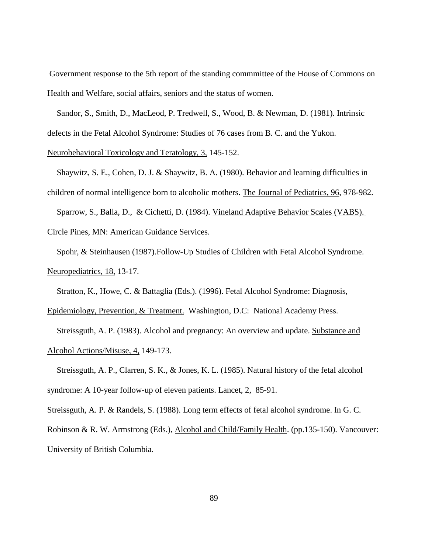Government response to the 5th report of the standing commmittee of the House of Commons on Health and Welfare, social affairs, seniors and the status of women.

Sandor, S., Smith, D., MacLeod, P. Tredwell, S., Wood, B. & Newman, D. (1981). Intrinsic defects in the Fetal Alcohol Syndrome: Studies of 76 cases from B. C. and the Yukon.

## Neurobehavioral Toxicology and Teratology, 3, 145-152.

Shaywitz, S. E., Cohen, D. J. & Shaywitz, B. A. (1980). Behavior and learning difficulties in children of normal intelligence born to alcoholic mothers. The Journal of Pediatrics, 96, 978-982. Sparrow, S., Balla, D., & Cichetti, D. (1984). Vineland Adaptive Behavior Scales (VABS).

Circle Pines, MN: American Guidance Services.

Spohr, & Steinhausen (1987).Follow-Up Studies of Children with Fetal Alcohol Syndrome. Neuropediatrics, 18, 13-17.

Stratton, K., Howe, C. & Battaglia (Eds.). (1996). Fetal Alcohol Syndrome: Diagnosis,

Epidemiology, Prevention, & Treatment. Washington, D.C: National Academy Press. Streissguth, A. P. (1983). Alcohol and pregnancy: An overview and update. Substance and Alcohol Actions/Misuse, 4, 149-173.

Streissguth, A. P., Clarren, S. K., & Jones, K. L. (1985). Natural history of the fetal alcohol syndrome: A 10-year follow-up of eleven patients. Lancet, 2, 85-91.

Streissguth, A. P. & Randels, S. (1988). Long term effects of fetal alcohol syndrome. In G. C.

Robinson & R. W. Armstrong (Eds.), Alcohol and Child/Family Health. (pp.135-150). Vancouver: University of British Columbia.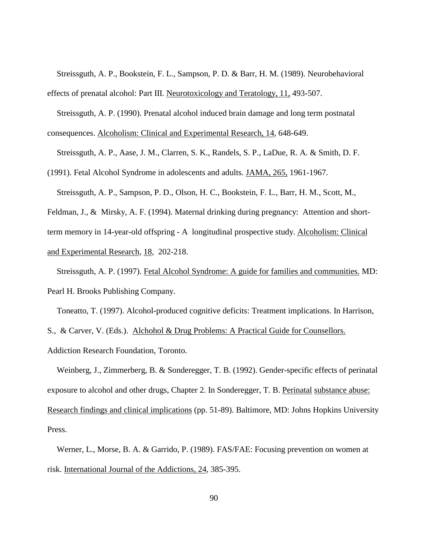Streissguth, A. P., Bookstein, F. L., Sampson, P. D. & Barr, H. M. (1989). Neurobehavioral effects of prenatal alcohol: Part III. Neurotoxicology and Teratology, 11, 493-507.

Streissguth, A. P. (1990). Prenatal alcohol induced brain damage and long term postnatal

consequences. Alcoholism: Clinical and Experimental Research, 14, 648-649.

Streissguth, A. P., Aase, J. M., Clarren, S. K., Randels, S. P., LaDue, R. A. & Smith, D. F.

(1991). Fetal Alcohol Syndrome in adolescents and adults. JAMA, 265, 1961-1967.

Streissguth, A. P., Sampson, P. D., Olson, H. C., Bookstein, F. L., Barr, H. M., Scott, M.,

Feldman, J., & Mirsky, A. F. (1994). Maternal drinking during pregnancy: Attention and shortterm memory in 14-year-old offspring - A longitudinal prospective study. Alcoholism: Clinical and Experimental Research, 18, 202-218.

Streissguth, A. P. (1997). Fetal Alcohol Syndrome: A guide for families and communities. MD: Pearl H. Brooks Publishing Company.

Toneatto, T. (1997). Alcohol-produced cognitive deficits: Treatment implications. In Harrison,

S., & Carver, V. (Eds.). Alchohol & Drug Problems: A Practical Guide for Counsellors.

Addiction Research Foundation, Toronto.

Weinberg, J., Zimmerberg, B. & Sonderegger, T. B. (1992). Gender-specific effects of perinatal exposure to alcohol and other drugs, Chapter 2. In Sonderegger, T. B. Perinatal substance abuse: Research findings and clinical implications (pp. 51-89). Baltimore, MD: Johns Hopkins University Press.

Werner, L., Morse, B. A. & Garrido, P. (1989). FAS/FAE: Focusing prevention on women at risk. International Journal of the Addictions, 24, 385-395.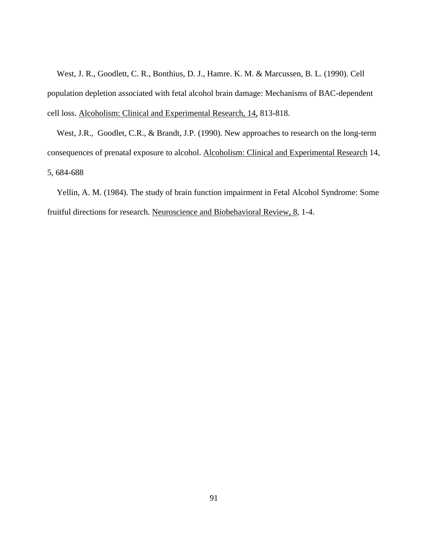West, J. R., Goodlett, C. R., Bonthius, D. J., Hamre. K. M. & Marcussen, B. L. (1990). Cell population depletion associated with fetal alcohol brain damage: Mechanisms of BAC-dependent cell loss. Alcoholism: Clinical and Experimental Research, 14, 813-818.

West, J.R., Goodlet, C.R., & Brandt, J.P. (1990). New approaches to research on the long-term consequences of prenatal exposure to alcohol. Alcoholism: Clinical and Experimental Research 14, 5, 684-688

Yellin, A. M. (1984). The study of brain function impairment in Fetal Alcohol Syndrome: Some fruitful directions for research. Neuroscience and Biobehavioral Review, 8, 1-4.